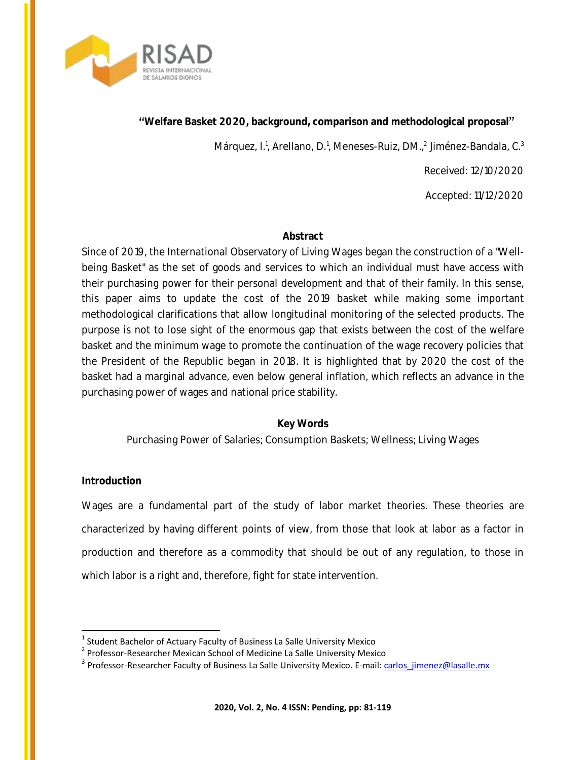

Márquez, I.<sup>1</sup>, Arellano, D.<sup>1</sup>, Meneses-Ruiz, DM.,<sup>2</sup> Jiménez-Bandala, C.<sup>3</sup>

Received: 12/10/2020

Accepted: 11/12/2020

### **Abstract**

Since of 2019, the International Observatory of Living Wages began the construction of a "Wellbeing Basket" as the set of goods and services to which an individual must have access with their purchasing power for their personal development and that of their family. In this sense, this paper aims to update the cost of the 2019 basket while making some important methodological clarifications that allow longitudinal monitoring of the selected products. The purpose is not to lose sight of the enormous gap that exists between the cost of the welfare basket and the minimum wage to promote the continuation of the wage recovery policies that the President of the Republic began in 2018. It is highlighted that by 2020 the cost of the basket had a marginal advance, even below general inflation, which reflects an advance in the purchasing power of wages and national price stability.

## **Key Words**

Purchasing Power of Salaries; Consumption Baskets; Wellness; Living Wages

## **Introduction**

 $\ddot{\phantom{a}}$ 

Wages are a fundamental part of the study of labor market theories. These theories are characterized by having different points of view, from those that look at labor as a factor in production and therefore as a commodity that should be out of any regulation, to those in which labor is a right and, therefore, fight for state intervention.

 $<sup>1</sup>$  Student Bachelor of Actuary Faculty of Business La Salle University Mexico</sup>

<sup>&</sup>lt;sup>2</sup> Professor-Researcher Mexican School of Medicine La Salle University Mexico

<sup>&</sup>lt;sup>3</sup> Professor-Researcher Faculty of Business La Salle University Mexico. E-mail: carlos jimenez@lasalle.mx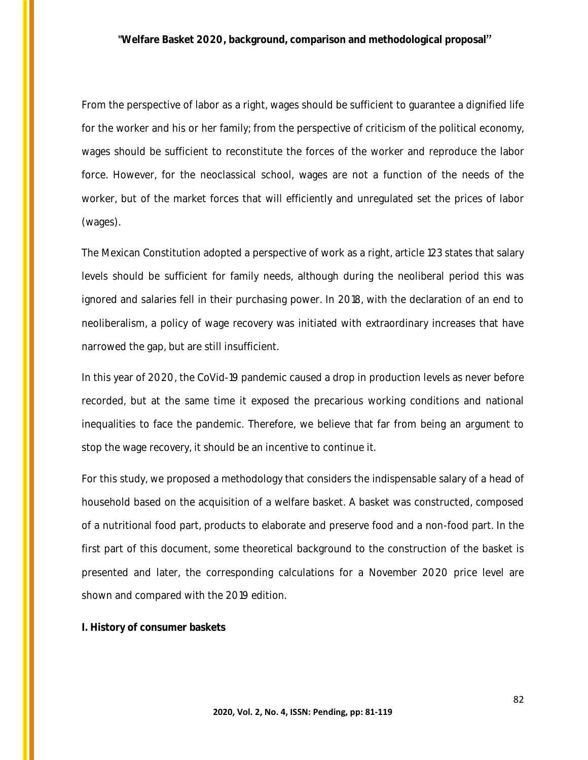From the perspective of labor as a right, wages should be sufficient to guarantee a dignified life for the worker and his or her family; from the perspective of criticism of the political economy, wages should be sufficient to reconstitute the forces of the worker and reproduce the labor force. However, for the neoclassical school, wages are not a function of the needs of the worker, but of the market forces that will efficiently and unregulated set the prices of labor (wages).

The Mexican Constitution adopted a perspective of work as a right, article 123 states that salary levels should be sufficient for family needs, although during the neoliberal period this was ignored and salaries fell in their purchasing power. In 2018, with the declaration of an end to neoliberalism, a policy of wage recovery was initiated with extraordinary increases that have narrowed the gap, but are still insufficient.

In this year of 2020, the CoVid-19 pandemic caused a drop in production levels as never before recorded, but at the same time it exposed the precarious working conditions and national inequalities to face the pandemic. Therefore, we believe that far from being an argument to stop the wage recovery, it should be an incentive to continue it.

For this study, we proposed a methodology that considers the indispensable salary of a head of household based on the acquisition of a welfare basket. A basket was constructed, composed of a nutritional food part, products to elaborate and preserve food and a non-food part. In the first part of this document, some theoretical background to the construction of the basket is presented and later, the corresponding calculations for a November 2020 price level are shown and compared with the 2019 edition.

**I. History of consumer baskets**

82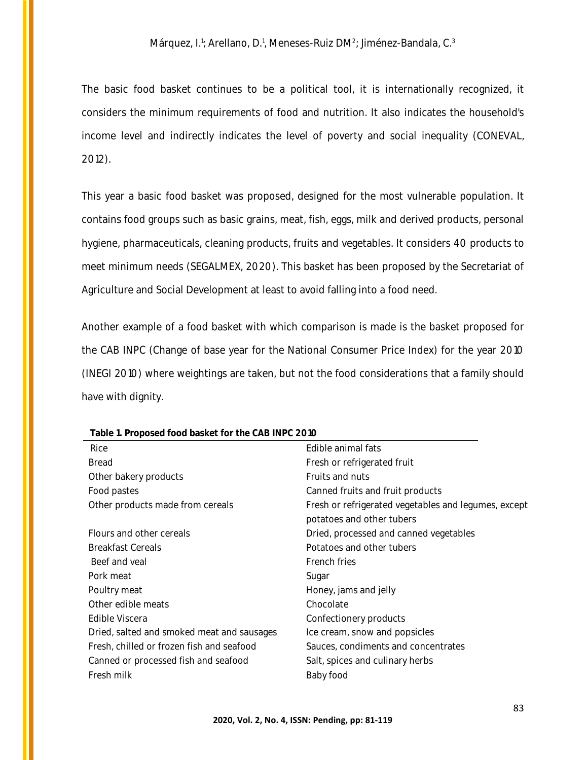The basic food basket continues to be a political tool, it is internationally recognized, it considers the minimum requirements of food and nutrition. It also indicates the household's income level and indirectly indicates the level of poverty and social inequality (CONEVAL, 2012).

This year a basic food basket was proposed, designed for the most vulnerable population. It contains food groups such as basic grains, meat, fish, eggs, milk and derived products, personal hygiene, pharmaceuticals, cleaning products, fruits and vegetables. It considers 40 products to meet minimum needs (SEGALMEX, 2020). This basket has been proposed by the Secretariat of Agriculture and Social Development at least to avoid falling into a food need.

Another example of a food basket with which comparison is made is the basket proposed for the CAB INPC (Change of base year for the National Consumer Price Index) for the year 2010 (INEGI 2010) where weightings are taken, but not the food considerations that a family should have with dignity.

| TODIO TELLOPOSCO TOOG DOSNOTTOL THO OND THE O ZOTO |                                                      |
|----------------------------------------------------|------------------------------------------------------|
| Rice                                               | Edible animal fats                                   |
| <b>Bread</b>                                       | Fresh or refrigerated fruit                          |
| Other bakery products                              | Fruits and nuts                                      |
| Food pastes                                        | Canned fruits and fruit products                     |
| Other products made from cereals                   | Fresh or refrigerated vegetables and legumes, except |
|                                                    | potatoes and other tubers                            |
| Flours and other cereals                           | Dried, processed and canned vegetables               |
| <b>Breakfast Cereals</b>                           | Potatoes and other tubers                            |
| Beef and veal                                      | French fries                                         |
| Pork meat                                          | Sugar                                                |
| Poultry meat                                       | Honey, jams and jelly                                |
| Other edible meats                                 | Chocolate                                            |
| Edible Viscera                                     | Confectionery products                               |
| Dried, salted and smoked meat and sausages         | Ice cream, snow and popsicles                        |
| Fresh, chilled or frozen fish and seafood          | Sauces, condiments and concentrates                  |
| Canned or processed fish and seafood               | Salt, spices and culinary herbs                      |
| Fresh milk                                         | Baby food                                            |
|                                                    |                                                      |

**Table 1. Proposed food basket for the CAB INPC 2010**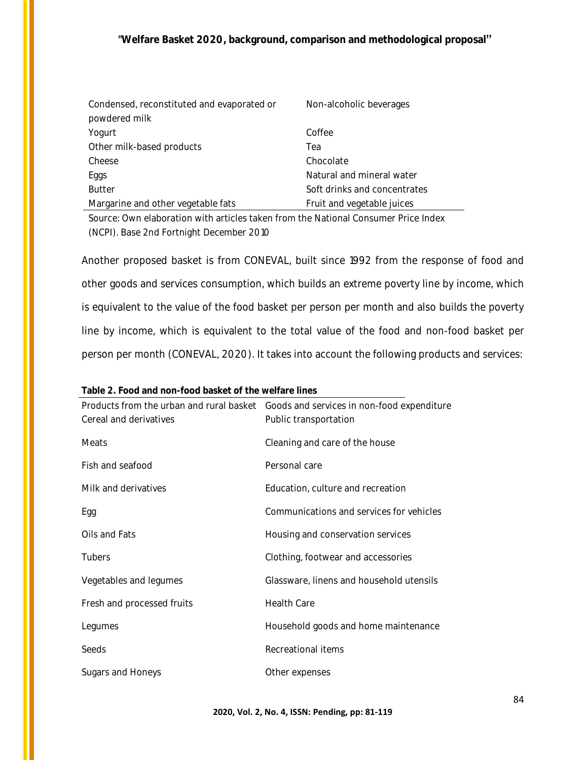| Condensed, reconstituted and evaporated or | Non-alcoholic beverages      |
|--------------------------------------------|------------------------------|
| powdered milk                              |                              |
| Yogurt                                     | Coffee                       |
| Other milk-based products                  | Теа                          |
| Cheese                                     | Chocolate                    |
| Eggs                                       | Natural and mineral water    |
| <b>Butter</b>                              | Soft drinks and concentrates |
| Margarine and other vegetable fats         | Fruit and vegetable juices   |

Source: Own elaboration with articles taken from the National Consumer Price Index (NCPI). Base 2nd Fortnight December 2010

Another proposed basket is from CONEVAL, built since 1992 from the response of food and other goods and services consumption, which builds an extreme poverty line by income, which is equivalent to the value of the food basket per person per month and also builds the poverty line by income, which is equivalent to the total value of the food and non-food basket per person per month (CONEVAL, 2020). It takes into account the following products and services:

| TUDIO 2. I OOU UHU HOH TOOU DUSIOL OF LIIO WOHULO IIHOS |                                                                                     |
|---------------------------------------------------------|-------------------------------------------------------------------------------------|
|                                                         | Products from the urban and rural basket Goods and services in non-food expenditure |
| Cereal and derivatives                                  | Public transportation                                                               |
| Meats                                                   | Cleaning and care of the house                                                      |
| Fish and seafood                                        | Personal care                                                                       |
| Milk and derivatives                                    | Education, culture and recreation                                                   |
| Egg                                                     | Communications and services for vehicles                                            |
| Oils and Fats                                           | Housing and conservation services                                                   |
| Tubers                                                  | Clothing, footwear and accessories                                                  |
| Vegetables and legumes                                  | Glassware, linens and household utensils                                            |
| Fresh and processed fruits                              | <b>Health Care</b>                                                                  |
| Legumes                                                 | Household goods and home maintenance                                                |
| Seeds                                                   | Recreational items                                                                  |
| Sugars and Honeys                                       | Other expenses                                                                      |

**Table 2. Food and non-food basket of the welfare lines**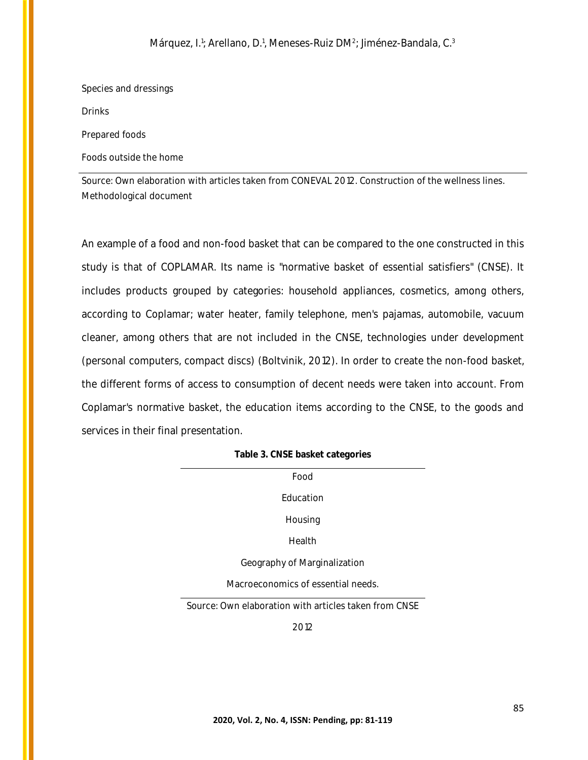Species and dressings

Drinks

Prepared foods

Foods outside the home

Source: Own elaboration with articles taken from CONEVAL 2012. Construction of the wellness lines. Methodological document

An example of a food and non-food basket that can be compared to the one constructed in this study is that of COPLAMAR. Its name is "normative basket of essential satisfiers" (CNSE). It includes products grouped by categories: household appliances, cosmetics, among others, according to Coplamar; water heater, family telephone, men's pajamas, automobile, vacuum cleaner, among others that are not included in the CNSE, technologies under development (personal computers, compact discs) (Boltvinik, 2012). In order to create the non-food basket, the different forms of access to consumption of decent needs were taken into account. From Coplamar's normative basket, the education items according to the CNSE, to the goods and services in their final presentation.

| Table 3. CNSE basket categories |  |  |
|---------------------------------|--|--|
|---------------------------------|--|--|

| Food                               |
|------------------------------------|
| Education                          |
| Housing                            |
| Health                             |
| Geography of Marginalization       |
| Macroeconomics of essential needs. |
| ⌒                                  |

Source: Own elaboration with articles taken from CNSE

2012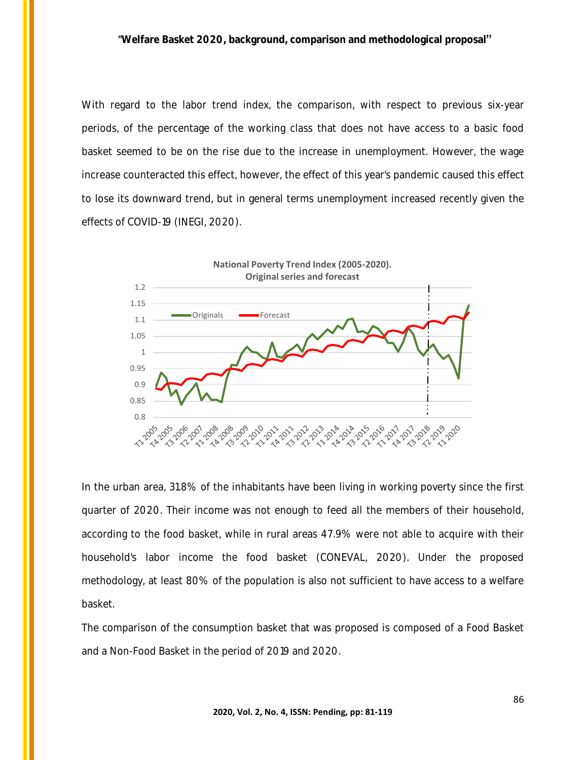With regard to the labor trend index, the comparison, with respect to previous six-year periods, of the percentage of the working class that does not have access to a basic food basket seemed to be on the rise due to the increase in unemployment. However, the wage increase counteracted this effect, however, the effect of this year's pandemic caused this effect to lose its downward trend, but in general terms unemployment increased recently given the effects of COVID-19 (INEGI, 2020).



In the urban area, 31.8% of the inhabitants have been living in working poverty since the first quarter of 2020. Their income was not enough to feed all the members of their household, according to the food basket, while in rural areas 47.9% were not able to acquire with their household's labor income the food basket (CONEVAL, 2020). Under the proposed methodology, at least 80% of the population is also not sufficient to have access to a welfare basket.

The comparison of the consumption basket that was proposed is composed of a Food Basket and a Non-Food Basket in the period of 2019 and 2020.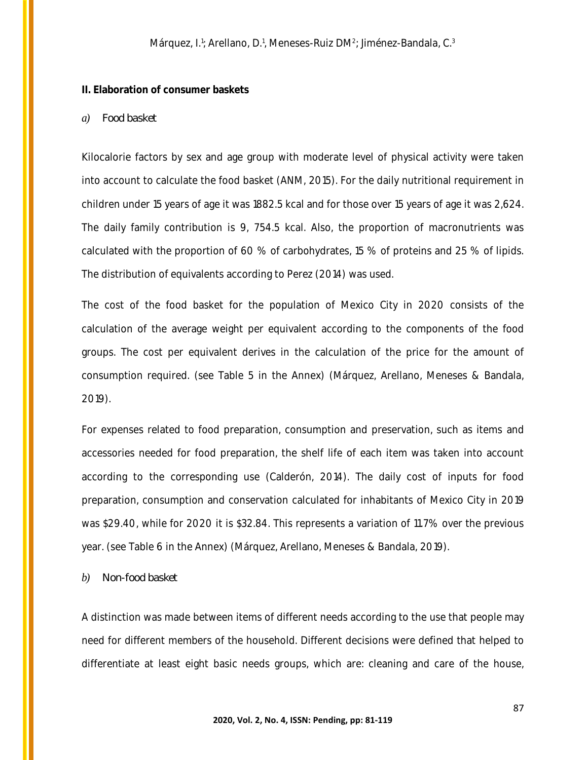### **II. Elaboration of consumer baskets**

### *a) Food basket*

Kilocalorie factors by sex and age group with moderate level of physical activity were taken into account to calculate the food basket (ANM, 2015). For the daily nutritional requirement in children under 15 years of age it was 1882.5 kcal and for those over 15 years of age it was 2,624. The daily family contribution is 9, 754.5 kcal. Also, the proportion of macronutrients was calculated with the proportion of 60 % of carbohydrates, 15 % of proteins and 25 % of lipids. The distribution of equivalents according to Perez (2014) was used.

The cost of the food basket for the population of Mexico City in 2020 consists of the calculation of the average weight per equivalent according to the components of the food groups. The cost per equivalent derives in the calculation of the price for the amount of consumption required. (see Table 5 in the Annex) (Márquez, Arellano, Meneses & Bandala, 2019).

For expenses related to food preparation, consumption and preservation, such as items and accessories needed for food preparation, the shelf life of each item was taken into account according to the corresponding use (Calderón, 2014). The daily cost of inputs for food preparation, consumption and conservation calculated for inhabitants of Mexico City in 2019 was \$29.40, while for 2020 it is \$32.84. This represents a variation of 11.7% over the previous year. (see Table 6 in the Annex) (Márquez, Arellano, Meneses & Bandala, 2019).

### *b) Non-food basket*

A distinction was made between items of different needs according to the use that people may need for different members of the household. Different decisions were defined that helped to differentiate at least eight basic needs groups, which are: cleaning and care of the house,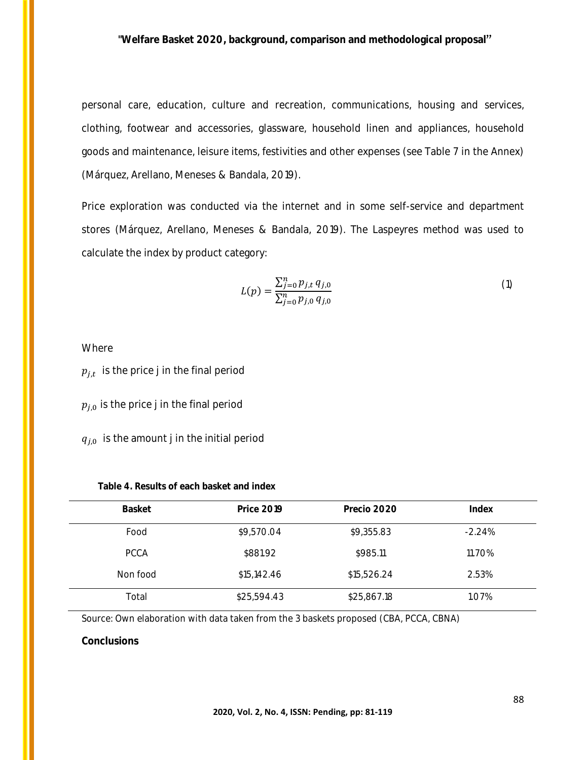personal care, education, culture and recreation, communications, housing and services, clothing, footwear and accessories, glassware, household linen and appliances, household goods and maintenance, leisure items, festivities and other expenses (see Table 7 in the Annex) (Márquez, Arellano, Meneses & Bandala, 2019).

Price exploration was conducted via the internet and in some self-service and department stores (Márquez, Arellano, Meneses & Bandala, 2019). The Laspeyres method was used to calculate the index by product category:

$$
L(p) = \frac{\sum_{j=0}^{n} p_{j,t} q_{j,0}}{\sum_{j=0}^{n} p_{j,0} q_{j,0}} \tag{1}
$$

Where

 $p_{j,t}\;$  is the price j in the final period

 $p_{j,0}$  is the price j in the final period

 $q_{i,0}$  is the amount j in the initial period

| Table 4. Results of each basket and index |  |
|-------------------------------------------|--|
|-------------------------------------------|--|

| Basket      | <b>Price 2019</b> | Precio 2020 | Index    |
|-------------|-------------------|-------------|----------|
| Food        | \$9,570.04        | \$9,355.83  | $-2.24%$ |
| <b>PCCA</b> | \$881.92          | \$985.11    | 11.70%   |
| Non food    | \$15,142.46       | \$15,526.24 | 2.53%    |
| Total       | \$25,594.43       | \$25,867.18 | 1.07%    |

Source: Own elaboration with data taken from the 3 baskets proposed (CBA, PCCA, CBNA)

**Conclusions**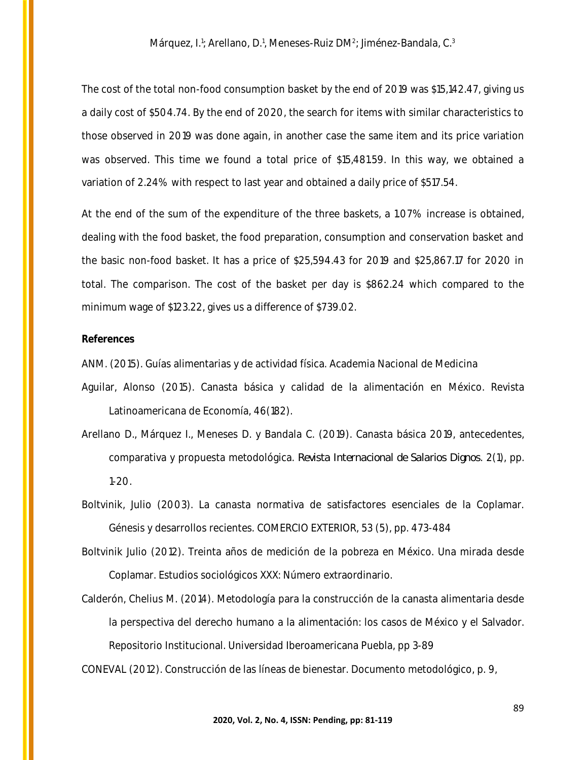The cost of the total non-food consumption basket by the end of 2019 was \$15,142.47, giving us a daily cost of \$504.74. By the end of 2020, the search for items with similar characteristics to those observed in 2019 was done again, in another case the same item and its price variation was observed. This time we found a total price of \$15,481.59. In this way, we obtained a variation of 2.24% with respect to last year and obtained a daily price of \$517.54.

At the end of the sum of the expenditure of the three baskets, a 1.07% increase is obtained, dealing with the food basket, the food preparation, consumption and conservation basket and the basic non-food basket. It has a price of \$25,594.43 for 2019 and \$25,867.17 for 2020 in total. The comparison. The cost of the basket per day is \$862.24 which compared to the minimum wage of \$123.22, gives us a difference of \$739.02.

### **References**

ANM. (2015). Guías alimentarias y de actividad física. Academia Nacional de Medicina

- Aguilar, Alonso (2015). Canasta básica y calidad de la alimentación en México. Revista Latinoamericana de Economía, 46(182).
- Arellano D., Márquez I., Meneses D. y Bandala C. (2019). Canasta básica 2019, antecedentes, comparativa y propuesta metodológica. *Revista Internacional de Salarios Dignos*. 2(1), pp. 1-20.
- Boltvinik, Julio (2003). La canasta normativa de satisfactores esenciales de la Coplamar. Génesis y desarrollos recientes. COMERCIO EXTERIOR, 53 (5), pp. 473-484
- Boltvinik Julio (2012). Treinta años de medición de la pobreza en México. Una mirada desde Coplamar. Estudios sociológicos XXX: Número extraordinario.
- Calderón, Chelius M. (2014). Metodología para la construcción de la canasta alimentaria desde la perspectiva del derecho humano a la alimentación: los casos de México y el Salvador. Repositorio Institucional. Universidad Iberoamericana Puebla, pp 3-89

CONEVAL (2012). Construcción de las líneas de bienestar. Documento metodológico, p. 9,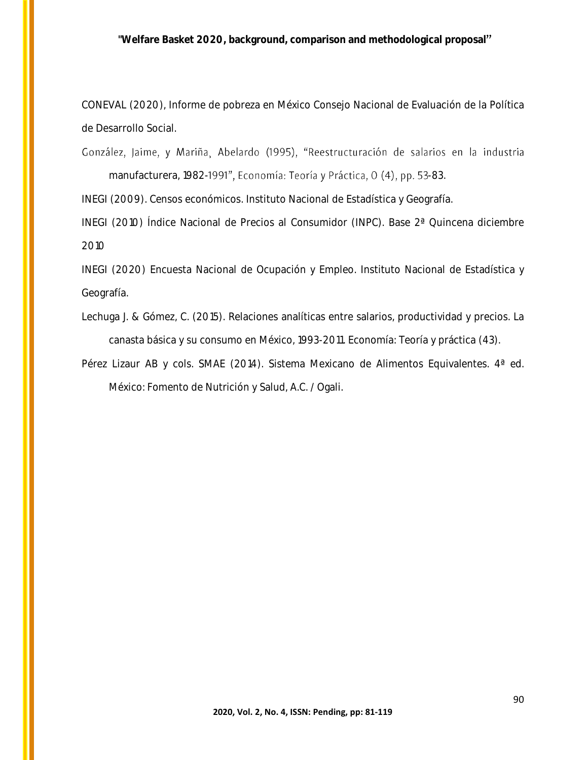CONEVAL (2020), Informe de pobreza en México Consejo Nacional de Evaluación de la Política de Desarrollo Social.

González, Jaime, y Mariña, Abelardo (1995), "Reestructuración de salarios en la industria manufacturera, 1982-1991", Economía: Teoría y Práctica, 0 (4), pp. 53-83.

INEGI (2009). Censos económicos. Instituto Nacional de Estadística y Geografía.

INEGI (2010) Índice Nacional de Precios al Consumidor (INPC). Base 2ª Quincena diciembre 2010

INEGI (2020) Encuesta Nacional de Ocupación y Empleo. Instituto Nacional de Estadística y Geografía.

Lechuga J. & Gómez, C. (2015). Relaciones analíticas entre salarios, productividad y precios. La canasta básica y su consumo en México, 1993-2011. Economía: Teoría y práctica (43).

Pérez Lizaur AB y cols. SMAE (2014). Sistema Mexicano de Alimentos Equivalentes. 4ª ed. México: Fomento de Nutrición y Salud, A.C. / Ogali.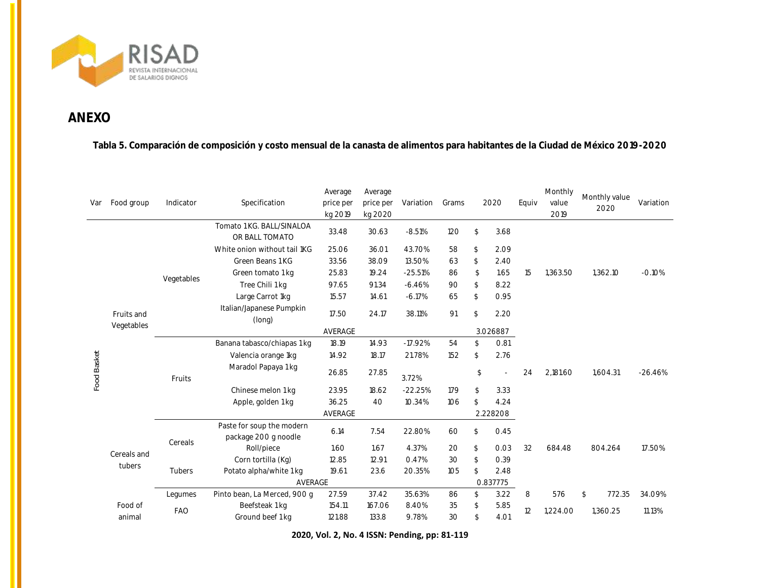

## **ANEXO**

**Tabla 5. Comparación de composición y costo mensual de la canasta de alimentos para habitantes de la Ciudad de México 2019-2020**

| Var         | Food group               | Indicator  | Specification                                     | Average<br>price per<br>kg 2019 | Average<br>price per<br>kg 2020 | Variation | Grams |          | 2020     | Equiv | Monthly<br>value<br>2019 | Monthly value<br>2020 | Variation |
|-------------|--------------------------|------------|---------------------------------------------------|---------------------------------|---------------------------------|-----------|-------|----------|----------|-------|--------------------------|-----------------------|-----------|
|             |                          |            | Tomato 1 KG. BALL/SINALOA<br>OR BALL TOMATO       | 33.48                           | 30.63                           | $-8.51%$  | 120   | \$       | 3.68     |       |                          |                       |           |
|             |                          |            | White onion without tail 1KG                      | 25.06                           | 36.01                           | 43.70%    | 58    | \$       | 2.09     |       |                          |                       | $-0.10%$  |
|             |                          |            | Green Beans 1 KG                                  | 33.56                           | 38.09                           | 13.50%    | 63    | \$       | 2.40     |       |                          | 1,362.10              |           |
|             |                          |            | Green tomato 1 kg                                 | 25.83                           | 19.24                           | $-25.51%$ | 86    | \$       | 1.65     | 15    | 1,363.50                 |                       |           |
|             |                          | Vegetables | Tree Chili 1 kg                                   | 97.65                           | 91.34                           | $-6.46%$  | 90    | \$       | 8.22     |       |                          |                       |           |
|             |                          |            | Large Carrot 1kg                                  | 15.57                           | 14.61                           | $-6.17%$  | 65    | \$       | 0.95     |       |                          |                       |           |
|             | Fruits and<br>Vegetables |            | Italian/Japanese Pumpkin<br>(long)                | 17.50                           | 24.17                           | 38.11%    | 91    | \$       | 2.20     |       |                          |                       |           |
|             |                          |            |                                                   | AVERAGE                         |                                 |           |       |          |          |       |                          |                       |           |
|             |                          |            | Banana tabasco/chiapas 1 kg                       | 18.19                           | 14.93                           | $-17.92%$ | 54    | \$       | 0.81     |       |                          |                       |           |
|             |                          |            | Valencia orange 1kg                               | 14.92                           | 18.17                           | 21.78%    | 152   | \$       | 2.76     |       |                          |                       |           |
| Food Basket |                          | Fruits     | Maradol Papaya 1 kg                               | 26.85                           | 27.85                           | 3.72%     |       | \$       |          | 24    | 2,181.60                 | 1,604.31              | $-26.46%$ |
|             |                          |            | Chinese melon 1 kg                                | 23.95                           | 18.62                           | $-22.25%$ | 179   | \$       | 3.33     |       |                          |                       |           |
|             |                          |            | Apple, golden 1 kg                                | 36.25                           | 40                              | 10.34%    | 106   | \$       | 4.24     |       |                          |                       |           |
|             |                          |            | AVERAGE                                           |                                 |                                 |           |       |          | 2.228208 |       |                          |                       |           |
|             |                          | Cereals    | Paste for soup the modern<br>package 200 g noodle | 6.14                            | 7.54                            | 22.80%    | 60    | \$       | O.45     |       |                          |                       |           |
|             | Cereals and              |            | Roll/piece                                        | 1.60                            | 1.67                            | 4.37%     | 20    | \$       | 0.03     | 32    | 684.48                   | 804.264               | 17.50%    |
|             | tubers                   |            | Corn tortilla (Kg)                                | 12.85                           | 12.91                           | 0.47%     | 30    | \$       | 0.39     |       |                          |                       |           |
|             |                          | Tubers     | Potato alpha/white 1 kg                           | 19.61                           | 23.6                            | 20.35%    | 105   | \$       | 2.48     |       |                          |                       |           |
|             |                          |            |                                                   | AVERAGE                         |                                 |           |       | 0.837775 |          |       |                          |                       |           |
|             |                          | Legumes    | Pinto bean, La Merced, 900 g                      | 27.59                           | 37.42                           | 35.63%    | 86    | \$       | 3.22     | 8     | 576                      | 772.35<br>\$          | 34.09%    |
|             | Food of                  | <b>FAO</b> | Beefsteak 1 kg                                    | 154.11                          | 167.06                          | 8.40%     | 35    | \$       | 5.85     | 12    | 1,224.00                 | 1,360.25              | 11.13%    |
| animal      |                          |            | Ground beef 1 kg                                  | 121.88                          | 133.8                           | 9.78%     | 30    | \$       | 4.01     |       |                          |                       |           |

**2020, Vol. 2, No. 4 ISSN: Pending, pp: 81-119**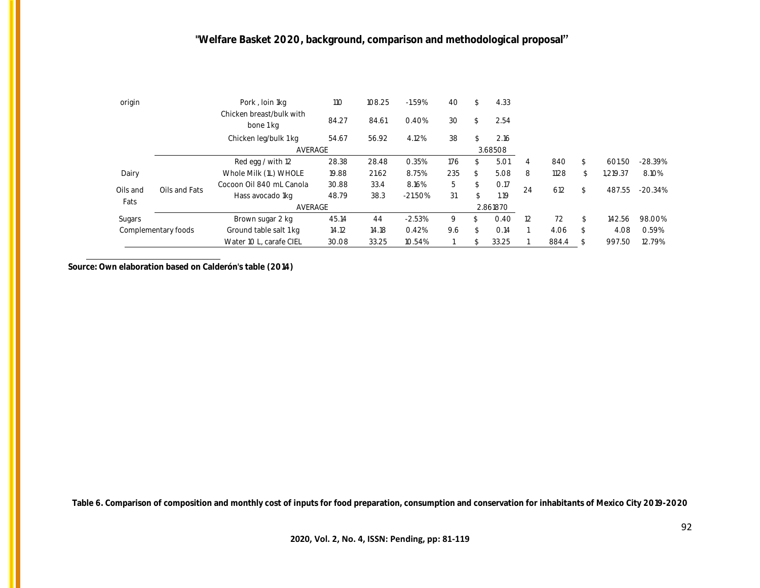| origin           |                     | Pork, loin 1kg                        | 110   | 108.25 | $-1.59\%$ | 40  | ፍ  | 4.33    |    |           |              |           |
|------------------|---------------------|---------------------------------------|-------|--------|-----------|-----|----|---------|----|-----------|--------------|-----------|
|                  |                     | Chicken breast/bulk with<br>bone 1 kg | 84.27 | 84.61  | 0.40%     | 30  | \$ | 2.54    |    |           |              |           |
|                  |                     | Chicken leg/bulk 1 kg                 | 54.67 | 56.92  | 4.12%     | 38  |    | 2.16    |    |           |              |           |
|                  |                     | AVERAGE                               |       |        |           |     |    | 3.68508 |    |           |              |           |
|                  |                     | Red egg / with 12                     | 28.38 | 28.48  | 0.35%     | 176 |    | 5.01    | 4  | 840       | 601.50       | $-28.39%$ |
| Dairy            |                     | Whole Milk (1L) WHOLE                 | 19.88 | 21.62  | 8.75%     | 235 | \$ | 5.08    | 8  | 1128      | 1.219.37     | 8.10%     |
|                  | Oils and Fats       | Cocoon Oil 840 ml Canola              | 30.88 | 33.4   | 8.16%     | 5   | \$ | O.17    |    | 24<br>612 | 487.55       | $-20.34%$ |
| Oils and<br>Fats |                     | Hass avocado 1kg                      | 48.79 | 38.3   | $-21.50%$ | 31  |    | 1.19    |    |           |              |           |
|                  |                     | AVERAGE<br>2.861870                   |       |        |           |     |    |         |    |           |              |           |
| Sugars           |                     | Brown sugar 2 kg                      | 45.14 | 44     | $-2.53%$  | 9   | \$ | 0.40    | 12 | 72        | \$<br>142.56 | 98.00%    |
|                  | Complementary foods | Ground table salt 1 kg                | 14.12 | 14.18  | 0.42%     | 9.6 | \$ | 0.14    |    | 4.06      | 4.08         | 0.59%     |
|                  |                     | Water 10 L. carafe CIEL               | 30.08 | 33.25  | 10.54%    |     |    | 33.25   |    | 884.4     | 997.50       | 12.79%    |

**Source: Own elaboration based on Calderón's table (2014)**

**Table 6. Comparison of composition and monthly cost of inputs for food preparation, consumption and conservation for inhabitants of Mexico City 2019-2020**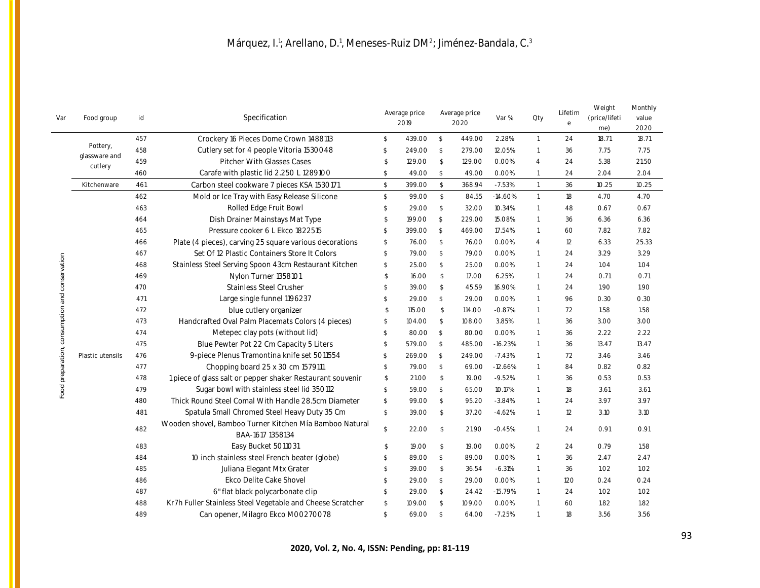| Var                                            | Food group                | id  | Specification                                                               |                         | Average price<br>2019 |                         | Average price<br>2020 | Var %     | Oty            | Lifetim<br>$\rm e$ | Weight<br>(price/lifeti<br>me) | Monthly<br>value<br>2020 |
|------------------------------------------------|---------------------------|-----|-----------------------------------------------------------------------------|-------------------------|-----------------------|-------------------------|-----------------------|-----------|----------------|--------------------|--------------------------------|--------------------------|
|                                                |                           | 457 | Crockery 16 Pieces Dome Crown 1488113                                       | $\mathcal{S}$           | 439.00                | $\mathbb{S}$            | 449.00                | 2.28%     | $\overline{1}$ | 24                 | 18.71                          | 18.71                    |
|                                                | Pottery,<br>glassware and | 458 | Cutlery set for 4 people Vitoria 1530048                                    | \$                      | 249.00                | $\mathcal{S}$           | 279.00                | 12.05%    | $\overline{1}$ | 36                 | 7.75                           | 7.75                     |
|                                                | cutlery                   | 459 | <b>Pitcher With Glasses Cases</b>                                           | \$                      | 129.00                | $\mathsf{\$}$           | 129.00                | 0.00%     | $\overline{4}$ | 24                 | 5.38                           | 21.50                    |
|                                                |                           | 460 | Carafe with plastic lid 2.250 L 1289100                                     | \$                      | 49.00                 | \$                      | 49.00                 | 0.00%     | $\mathbf{1}$   | 24                 | 2.04                           | 2.04                     |
|                                                | Kitchenware               | 461 | Carbon steel cookware 7 pieces KSA 1530171                                  | $\sqrt[6]{\frac{1}{2}}$ | 399.00                | $\mathbb{S}$            | 368.94                | $-7.53%$  | $\overline{1}$ | 36                 | 10.25                          | 10.25                    |
|                                                |                           | 462 | Mold or Ice Tray with Easy Release Silicone                                 | $\mathbb{S}$            | 99.00                 | \$                      | 84.55                 | $-14.60%$ | $\overline{1}$ | 18                 | 4.70                           | 4.70                     |
|                                                |                           | 463 | Rolled Edge Fruit Bowl                                                      | \$                      | 29.00                 | $\sqrt[6]{\frac{1}{2}}$ | 32.00                 | 10.34%    | $\overline{1}$ | 48                 | 0.67                           | 0.67                     |
|                                                |                           | 464 | Dish Drainer Mainstays Mat Type                                             | \$                      | 199.00                | $\mathcal{L}$           | 229.00                | 15.08%    | $\overline{1}$ | 36                 | 6.36                           | 6.36                     |
|                                                |                           | 465 | Pressure cooker 6 L Ekco 1822515                                            | $\mathcal{S}$           | 399.00                | $\mathbb{S}$            | 469.00                | 17.54%    | $\overline{1}$ | 60                 | 7.82                           | 7.82                     |
|                                                |                           | 466 | Plate (4 pieces), carving 25 square various decorations                     | s.                      | 76.00                 | -S                      | 76.00                 | 0.00%     | $\overline{4}$ | 12                 | 6.33                           | 25.33                    |
|                                                |                           | 467 | Set Of 12 Plastic Containers Store It Colors                                | $\mathbb{S}$            | 79.00                 | $\mathbb{S}$            | 79.00                 | 0.00%     | $\overline{1}$ | 24                 | 3.29                           | 3.29                     |
|                                                |                           | 468 | Stainless Steel Serving Spoon 43cm Restaurant Kitchen                       | \$                      | 25.00                 | $\mathcal{S}$           | 25.00                 | 0.00%     | $\overline{1}$ | 24                 | 1.04                           | 1.04                     |
|                                                |                           | 469 | Nylon Turner 1358101                                                        | \$                      | 16.00                 | $\sqrt{2}$              | 17.00                 | 6.25%     | $\overline{1}$ | 24                 | 0.71                           | O.71                     |
|                                                |                           | 470 | Stainless Steel Crusher                                                     | \$                      | 39.00                 | $\sqrt{2}$              | 45.59                 | 16.90%    | $\overline{1}$ | 24                 | 1.90                           | 1.90                     |
| Food preparation, consumption and conservation |                           | 471 | Large single funnel 1196237                                                 | \$                      | 29.00                 | $\mathbb{S}$            | 29.00                 | 0.00%     | $\overline{1}$ | 96                 | 0.30                           | 0.30                     |
|                                                |                           | 472 | blue cutlery organizer                                                      | $\mathcal{S}$           | 115.00                | $\mathbb{S}$            | 114.00                | $-0.87%$  | $\overline{1}$ | 72                 | 1.58                           | 1.58                     |
|                                                |                           | 473 | Handcrafted Oval Palm Placemats Colors (4 pieces)                           | \$                      | 104.00                | $\sqrt[6]{}$            | 108.00                | 3.85%     | $\overline{1}$ | 36                 | 3.00                           | 3.00                     |
|                                                |                           | 474 | Metepec clay pots (without lid)                                             | <sup>\$</sup>           | 80.00                 | $\sqrt[6]{3}$           | 80.00                 | 0.00%     | $\overline{1}$ | 36                 | 2.22                           | 2.22                     |
|                                                |                           | 475 | Blue Pewter Pot 22 Cm Capacity 5 Liters                                     | \$                      | 579.00                | $\mathcal{S}$           | 485.00                | $-16.23%$ | $\overline{1}$ | 36                 | 13.47                          | 13.47                    |
|                                                | Plastic utensils          | 476 | 9-piece Plenus Tramontina knife set 5011554                                 | $\mathcal{S}$           | 269.00                | $\mathcal{S}$           | 249.00                | $-7.43%$  | $\overline{1}$ | 72                 | 3.46                           | 3.46                     |
|                                                |                           | 477 | Chopping board 25 x 30 cm 1579111                                           | \$                      | 79.00                 | \$                      | 69.00                 | $-12.66%$ | $\overline{1}$ | 84                 | 0.82                           | 0.82                     |
|                                                |                           | 478 | 1 piece of glass salt or pepper shaker Restaurant souvenir                  | \$                      | 21.00                 | $\mathbb{S}$            | 19.00                 | $-9.52%$  | $\overline{1}$ | 36                 | 0.53                           | 0.53                     |
|                                                |                           | 479 | Sugar bowl with stainless steel lid 350112                                  | \$                      | 59.00                 | $\mathbb{S}$            | 65.00                 | 10.17%    | $\overline{1}$ | 18                 | 3.61                           | 3.61                     |
|                                                |                           | 480 | Thick Round Steel Comal With Handle 28.5cm Diameter                         | \$                      | 99.00                 | $\mathcal{S}$           | 95.20                 | $-3.84%$  | $\overline{1}$ | 24                 | 3.97                           | 3.97                     |
|                                                |                           | 481 | Spatula Small Chromed Steel Heavy Duty 35 Cm                                | \$                      | 39.00                 | \$                      | 37.20                 | $-4.62%$  | $\overline{1}$ | 12                 | 3.10                           | 3.10                     |
|                                                |                           | 482 | Wooden shovel, Bamboo Turner Kitchen Mía Bamboo Natural<br>BAA-1617 1358134 | $\mathbb{S}$            | 22.00                 | $\mathcal{S}$           | 21.90                 | $-0.45%$  | $\overline{1}$ | 24                 | 0.91                           | 0.91                     |
|                                                |                           | 483 | Easy Bucket 5011031                                                         | $\mathbb{S}$            | 19.00                 | $\mathbb{S}$            | 19.00                 | 0.00%     | $\overline{2}$ | 24                 | 0.79                           | 1.58                     |
|                                                |                           | 484 | 10 inch stainless steel French beater (globe)                               | \$                      | 89.00                 | $\mathcal{S}$           | 89.00                 | 0.00%     | $\overline{1}$ | 36                 | 2.47                           | 2.47                     |
|                                                |                           | 485 | Juliana Elegant Mtx Grater                                                  | \$                      | 39.00                 | $\mathbb{S}$            | 36.54                 | $-6.31%$  | $\overline{1}$ | 36                 | 1.02                           | 1.02                     |
|                                                |                           | 486 | Ekco Delite Cake Shovel                                                     | \$                      | 29.00                 | $\mathbb{S}$            | 29.00                 | 0.00%     | $\overline{1}$ | 120                | 0.24                           | 0.24                     |
|                                                |                           | 487 | 6" flat black polycarbonate clip                                            | $\mathbb{S}$            | 29.00                 | $\mathbb{S}$            | 24.42                 | $-15.79%$ | $\overline{1}$ | 24                 | 1.02                           | 1.02                     |
|                                                |                           | 488 | Kr7h Fuller Stainless Steel Vegetable and Cheese Scratcher                  | \$                      | 109.00                | $\sqrt[6]{\frac{1}{2}}$ | 109.00                | 0.00%     | $\overline{1}$ | 60                 | 1.82                           | 1.82                     |
|                                                |                           | 489 | Can opener, Milagro Ekco M00270078                                          | $$\mathbb{S}$$          | 69.00                 | $\mathbb{S}$            | 64.00                 | $-7.25%$  | $\overline{1}$ | 18                 | 3.56                           | 3.56                     |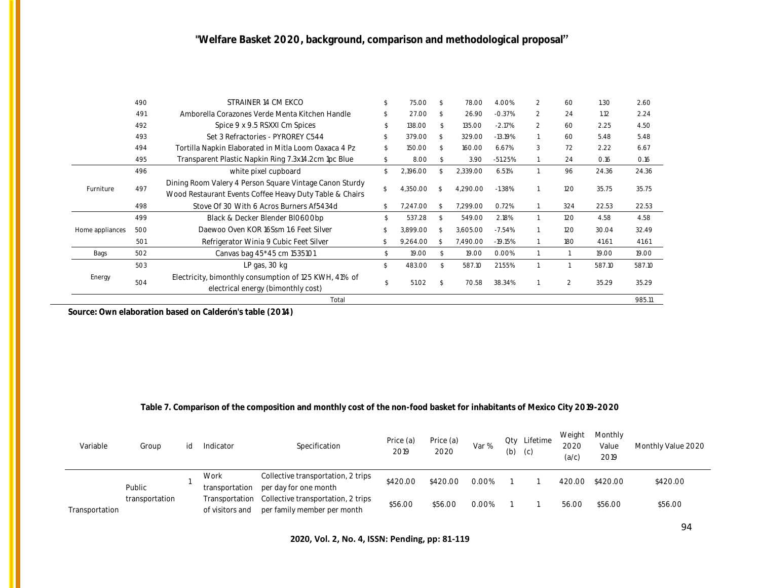|                                      | 490 | STRAINER 14 CM EKCO                                                                                                | 75.00        |               | 78.00    | 4.00%     | 2             | 60  | 1.30   | 2.60   |
|--------------------------------------|-----|--------------------------------------------------------------------------------------------------------------------|--------------|---------------|----------|-----------|---------------|-----|--------|--------|
|                                      | 491 | Amborella Corazones Verde Menta Kitchen Handle                                                                     | 27.00        | $\mathcal{S}$ | 26.90    | $-0.37%$  | $\mathcal{P}$ | 24  | 1.12   | 2.24   |
|                                      | 492 | Spice 9 x 9.5 RSXXI Cm Spices                                                                                      | 138.00       |               | 135.00   | $-2.17%$  | $\mathcal{P}$ | 60  | 2.25   | 4.50   |
|                                      | 493 | Set 3 Refractories - PYROREY C544                                                                                  | 379.00       |               | 329.00   | $-13.19%$ |               | 60  | 5.48   | 5.48   |
|                                      | 494 | Tortilla Napkin Elaborated in Mitla Loom Oaxaca 4 Pz                                                               | 150.00       |               | 160.00   | 6.67%     | 3             | 72  | 2.22   | 6.67   |
|                                      | 495 | Transparent Plastic Napkin Ring 7.3x14.2cm 1pc Blue                                                                | 8.00         |               | 3.90     | $-51.25%$ |               | 24  | 0.16   | 0.16   |
|                                      | 496 | white pixel cupboard                                                                                               | 2,196.00     |               | 2,339.00 | 6.51%     |               | 96  | 24.36  | 24.36  |
| Furniture<br>Home appliances<br>Bags | 497 | Dining Room Valery 4 Person Square Vintage Canon Sturdy<br>Wood Restaurant Events Coffee Heavy Duty Table & Chairs | 4,350.00     |               | 4.290.00 | $-1.38%$  |               | 120 | 35.75  | 35.75  |
|                                      | 498 | Stove Of 30 With 6 Acros Burners Af5434d                                                                           | 7,247.00     |               | 7,299.00 | 0.72%     |               | 324 | 22.53  | 22.53  |
|                                      | 499 | Black & Decker Blender BI0600bp                                                                                    | 537.28       |               | 549.00   | 2.18%     |               | 120 | 4.58   | 4.58   |
| Energy                               | 500 | Daewoo Oven KOR 16Ssm 1.6 Feet Silver                                                                              | 3,899.00     | -S.           | 3,605.00 | $-7.54%$  |               | 120 | 30.04  | 32.49  |
|                                      | 501 | Refrigerator Winia 9 Cubic Feet Silver                                                                             | 9,264.00     |               | 7.490.00 | $-19.15%$ |               | 180 | 41.61  | 41.61  |
|                                      | 502 | Canvas bag 45*45 cm 1535101                                                                                        | 19.00        |               | 19.00    | 0.00%     |               |     | 19.00  | 19.00  |
|                                      | 503 | LP gas, 30 kg                                                                                                      | \$<br>483.00 |               | 587.10   | 21.55%    |               |     | 587.10 | 587.10 |
|                                      | 504 | Electricity, bimonthly consumption of 125 KWH, 41% of<br>electrical energy (bimonthly cost)                        | 51.02        |               | 70.58    | 38.34%    |               | 2   | 35.29  | 35.29  |
|                                      |     | Total                                                                                                              |              |               |          |           |               |     |        | 985.11 |

**Source: Own elaboration based on Calderón's table (2014)**

### **Table 7. Comparison of the composition and monthly cost of the non-food basket for inhabitants of Mexico City 2019-2020**

| Variable       | Group          |  | Indicator       | Specification                                     | Price (a)<br>2019 | Price (a)<br>2020 | Var %    | Qty Lifetime<br>$(b)$ $(c)$ | Weight<br>2020<br>(a/c) | Monthly<br>Value<br>2019 | Monthly Value 2020 |
|----------------|----------------|--|-----------------|---------------------------------------------------|-------------------|-------------------|----------|-----------------------------|-------------------------|--------------------------|--------------------|
|                |                |  | Work            | Collective transportation, 2 trips                | \$420.00          | \$420.00          | 0.00%    |                             |                         | 420.00 \$420.00          | \$420.00           |
|                | Public         |  | transportation  | per day for one month                             |                   |                   |          |                             |                         |                          |                    |
|                | transportation |  |                 | Transportation Collective transportation, 2 trips | \$56.00           | \$56.00           | $0.00\%$ |                             | 56.00                   | \$56.00                  | \$56.00            |
| Transportation |                |  | of visitors and | per family member per month                       |                   |                   |          |                             |                         |                          |                    |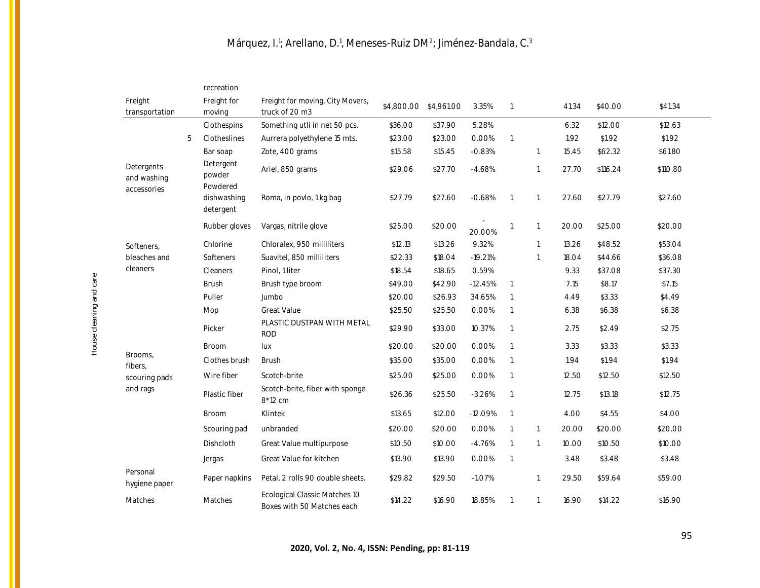|                                          |   | recreation                      |                                                             |                       |         |           |                |              |       |          |          |
|------------------------------------------|---|---------------------------------|-------------------------------------------------------------|-----------------------|---------|-----------|----------------|--------------|-------|----------|----------|
| Freight<br>transportation                |   | Freight for<br>moving           | Freight for moving, City Movers,<br>truck of 20 m3          | \$4,800.00 \$4,961.00 |         | 3.35%     | $\overline{1}$ |              | 41.34 | \$40.00  | \$41.34  |
|                                          |   | Clothespins                     | Something utli in net 50 pcs.                               | \$36.00               | \$37.90 | 5.28%     |                |              | 6.32  | \$12.00  | \$12.63  |
|                                          | 5 | Clotheslines                    | Aurrera polyethylene 15 mts.                                | \$23.00               | \$23.00 | 0.00%     | $\mathbf{1}$   |              | 1.92  | \$1.92   | \$1.92   |
|                                          |   | Bar soap                        | Zote, 400 grams                                             | \$15.58               | \$15.45 | $-0.83%$  |                | 1            | 15.45 | \$62.32  | \$61.80  |
| Detergents<br>and washing<br>accessories |   | Detergent<br>powder<br>Powdered | Ariel, 850 grams                                            | \$29.06               | \$27.70 | $-4.68%$  |                |              | 27.70 | \$116.24 | \$110.80 |
|                                          |   | dishwashing<br>detergent        | Roma, in povlo, 1 kg bag                                    | \$27.79               | \$27.60 | $-0.68%$  | $\overline{1}$ |              | 27.60 | \$27.79  | \$27.60  |
|                                          |   | Rubber gloves                   | Vargas, nitrile glove                                       | \$25.00               | \$20.00 | 20.00%    | 1              |              | 20.00 | \$25.00  | \$20.00  |
| Softeners,                               |   | Chlorine                        | Chloralex, 950 milliliters                                  | \$12.13               | \$13.26 | 9.32%     |                |              | 13.26 | \$48.52  | \$53.04  |
| bleaches and                             |   | Softeners                       | Suavitel, 850 milliliters                                   | \$22.33               | \$18.04 | $-19.21%$ |                |              | 18.04 | \$44.66  | \$36.08  |
| cleaners                                 |   | Cleaners                        | Pinol, 1 liter                                              | \$18.54               | \$18.65 | 0.59%     |                |              | 9.33  | \$37.08  | \$37.30  |
|                                          |   | <b>Brush</b>                    | Brush type broom                                            | \$49.00               | \$42.90 | $-12.45%$ | $\overline{1}$ |              | 7.15  | \$8.17   | \$7.15   |
|                                          |   | Puller                          | Jumbo                                                       | \$20.00               | \$26.93 | 34.65%    | -1             |              | 4.49  | \$3.33   | \$4.49   |
|                                          |   | Mop                             | <b>Great Value</b>                                          | \$25.50               | \$25.50 | 0.00%     | $\overline{1}$ |              | 6.38  | \$6.38   | \$6.38   |
|                                          |   | Picker                          | PLASTIC DUSTPAN WITH METAL<br><b>ROD</b>                    | \$29.90               | \$33.00 | 10.37%    | $\overline{1}$ |              | 2.75  | \$2.49   | \$2.75   |
|                                          |   | <b>Broom</b>                    | lux                                                         | \$20.00               | \$20.00 | 0.00%     | $\overline{1}$ |              | 3.33  | \$3.33   | \$3.33   |
| Brooms.<br>fibers,                       |   | Clothes brush                   | <b>Brush</b>                                                | \$35.00               | \$35.00 | 0.00%     | $\overline{1}$ |              | 1.94  | \$1.94   | \$1.94   |
| scouring pads                            |   | Wire fiber                      | Scotch-brite                                                | \$25.00               | \$25.00 | 0.00%     | $\overline{1}$ |              | 12.50 | \$12.50  | \$12.50  |
| and rags                                 |   | Plastic fiber                   | Scotch-brite, fiber with sponge<br>8*12 cm                  | \$26.36               | \$25.50 | $-3.26%$  | $\overline{1}$ |              | 12.75 | \$13.18  | \$12.75  |
|                                          |   | <b>Broom</b>                    | Klintek                                                     | \$13.65               | \$12.00 | $-12.09%$ | $\overline{1}$ |              | 4.00  | \$4.55   | \$4.00   |
|                                          |   | Scouring pad                    | unbranded                                                   | \$20.00               | \$20.00 | 0.00%     | $\overline{1}$ | $\mathbf{1}$ | 20.00 | \$20.00  | \$20.00  |
|                                          |   | Dishcloth                       | Great Value multipurpose                                    | \$10.50               | \$10.00 | $-4.76%$  | $\overline{1}$ | $\mathbf{1}$ | 10.00 | \$10.50  | \$10.00  |
|                                          |   | Jergas                          | Great Value for kitchen                                     | \$13.90               | \$13.90 | 0.00%     | $\overline{1}$ |              | 3.48  | \$3.48   | \$3.48   |
| Personal<br>hygiene paper                |   | Paper napkins                   | Petal, 2 rolls 90 double sheets.                            | \$29.82               | \$29.50 | $-1.07%$  |                |              | 29.50 | \$59.64  | \$59.00  |
| Matches                                  |   | Matches                         | Ecological Classic Matches 10<br>Boxes with 50 Matches each | \$14.22               | \$16.90 | 18.85%    | $\overline{1}$ | $\mathbf{1}$ | 16.90 | \$14.22  | \$16.90  |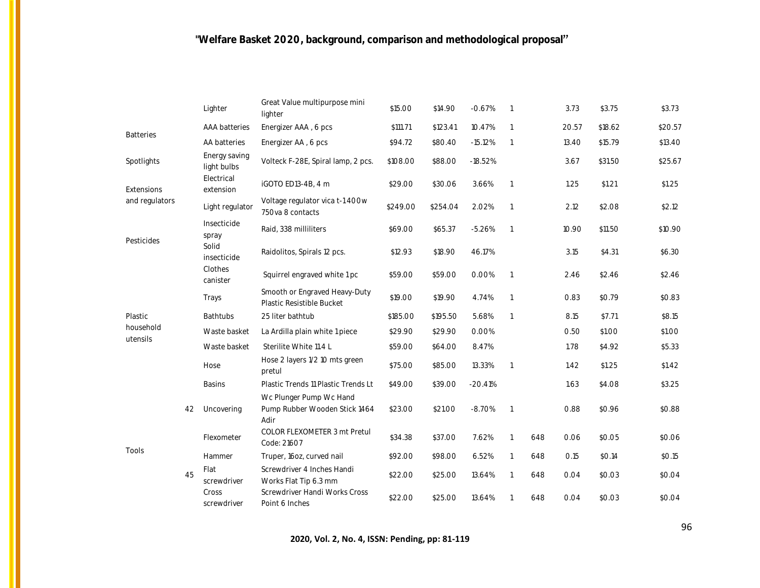|                  |    | Lighter                      | Great Value multipurpose mini<br>lighter                         | \$15.00  | \$14.90  | $-0.67%$  | $\overline{1}$ |     | 3.73  | \$3.75  | \$3.73  |
|------------------|----|------------------------------|------------------------------------------------------------------|----------|----------|-----------|----------------|-----|-------|---------|---------|
| <b>Batteries</b> |    | AAA batteries                | Energizer AAA, 6 pcs                                             | \$111.71 | \$123.41 | 10.47%    | $\overline{1}$ |     | 20.57 | \$18.62 | \$20.57 |
|                  |    | AA batteries                 | Energizer AA, 6 pcs                                              | \$94.72  | \$80.40  | $-15.12%$ | $\overline{1}$ |     | 13.40 | \$15.79 | \$13.40 |
| Spotlights       |    | Energy saving<br>light bulbs | Volteck F-28E, Spiral lamp, 2 pcs.                               | \$108.00 | \$88.00  | $-18.52%$ |                |     | 3.67  | \$31.50 | \$25.67 |
| Extensions       |    | Electrical<br>extension      | iGOTO ED13-4B, 4 m                                               | \$29.00  | \$30.06  | 3.66%     | $\overline{1}$ |     | 1.25  | \$1.21  | \$1.25  |
| and regulators   |    | Light regulator              | Voltage regulator vica t-1 400w<br>750va 8 contacts              | \$249.00 | \$254.04 | 2.02%     | $\overline{1}$ |     | 2.12  | \$2.08  | \$2.12  |
| Pesticides       |    | Insecticide<br>spray         | Raid, 338 milliliters                                            | \$69.00  | \$65.37  | $-5.26%$  | $\overline{1}$ |     | 10.90 | \$11.50 | \$10.90 |
|                  |    | Solid<br>insecticide         | Raidolitos, Spirals 12 pcs.                                      | \$12.93  | \$18.90  | 46.17%    |                |     | 3.15  | \$4.31  | \$6.30  |
|                  |    | Clothes<br>canister          | Squirrel engraved white 1 pc                                     | \$59.00  | \$59.00  | 0.00%     | $\overline{1}$ |     | 2.46  | \$2.46  | \$2.46  |
|                  |    | Trays                        | Smooth or Engraved Heavy-Duty<br>Plastic Resistible Bucket       | \$19.00  | \$19.90  | 4.74%     | $\overline{1}$ |     | 0.83  | \$0.79  | \$0.83  |
| Plastic          |    | <b>Bathtubs</b>              | 25 liter bathtub                                                 | \$185.00 | \$195.50 | 5.68%     | $\overline{1}$ |     | 8.15  | \$7.71  | \$8.15  |
| household        |    | Waste basket                 | La Ardilla plain white 1 piece                                   | \$29.90  | \$29.90  | 0.00%     |                |     | 0.50  | \$1.00  | \$1.00  |
| utensils         |    | Waste basket                 | Sterilite White 11.4 L                                           | \$59.00  | \$64.00  | 8.47%     |                |     | 1.78  | \$4.92  | \$5.33  |
|                  |    | Hose                         | Hose 2 layers 1/2 10 mts green<br>pretul                         | \$75.00  | \$85.00  | 13.33%    | $\overline{1}$ |     | 1.42  | \$1.25  | \$1.42  |
|                  |    | <b>Basins</b>                | Plastic Trends 11 Plastic Trends Lt                              | \$49.00  | \$39.00  | $-20.41%$ |                |     | 1.63  | \$4.08  | \$3.25  |
|                  | 42 | Uncovering                   | Wc Plunger Pump Wc Hand<br>Pump Rubber Wooden Stick 1464<br>Adir | \$23.00  | \$21.00  | $-8.70%$  | $\overline{1}$ |     | 0.88  | \$0.96  | \$0.88  |
|                  |    | Flexometer                   | COLOR FLEXOMETER 3 mt Pretul<br>Code: 21607                      | \$34.38  | \$37.00  | 7.62%     | $\overline{1}$ | 648 | 0.06  | \$0.05  | \$0.06  |
| Tools            |    | Hammer                       | Truper, 16oz, curved nail                                        | \$92.00  | \$98.00  | 6.52%     | 1              | 648 | O.15  | \$0.14  | \$0.15  |
|                  | 45 | Flat<br>screwdriver          | Screwdriver 4 Inches Handi<br>Works Flat Tip 6.3 mm              | \$22.00  | \$25.00  | 13.64%    | $\overline{1}$ | 648 | 0.04  | \$0.03  | \$0.04  |
|                  |    | Cross<br>screwdriver         | Screwdriver Handi Works Cross<br>Point 6 Inches                  | \$22.00  | \$25.00  | 13.64%    | $\overline{1}$ | 648 | 0.04  | \$0.03  | \$0.04  |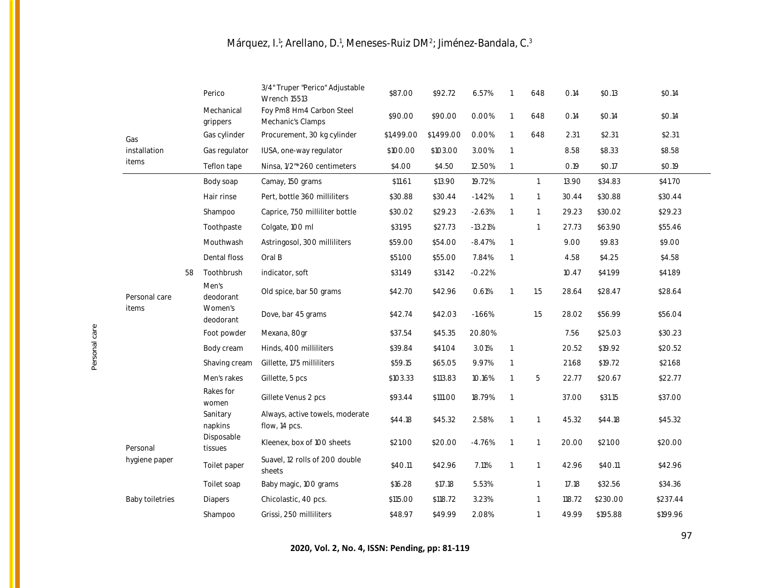|                        |    | Perico                 | 3/4" Truper "Perico" Adjustable<br><b>Wrench 15513</b> | \$87.00    | \$92.72    | 6.57%     | $\overline{1}$           | 648          | 0.14   | \$0.13   | \$0.14   |
|------------------------|----|------------------------|--------------------------------------------------------|------------|------------|-----------|--------------------------|--------------|--------|----------|----------|
|                        |    | Mechanical<br>grippers | Foy Pm8 Hm4 Carbon Steel<br>Mechanic's Clamps          | \$90.00    | \$90.00    | 0.00%     | $\overline{1}$           | 648          | 0.14   | \$0.14   | \$0.14   |
| Gas                    |    | Gas cylinder           | Procurement, 30 kg cylinder                            | \$1,499.00 | \$1,499.00 | 0.00%     | $\overline{\phantom{a}}$ | 648          | 2.31   | \$2.31   | \$2.31   |
| installation           |    | Gas regulator          | IUSA, one-way regulator                                | \$100.00   | \$103.00   | 3.00%     | $\overline{1}$           |              | 8.58   | \$8.33   | \$8.58   |
| items                  |    | Teflon tape            | Ninsa, 1/2"*260 centimeters                            | \$4.00     | \$4.50     | 12.50%    | $\overline{1}$           |              | 0.19   | \$0.17   | \$0.19   |
|                        |    | Body soap              | Camay, 150 grams                                       | \$11.61    | \$13.90    | 19.72%    |                          | $\mathbf{1}$ | 13.90  | \$34.83  | \$41.70  |
|                        |    | Hair rinse             | Pert, bottle 360 milliliters                           | \$30.88    | \$30.44    | $-1.42%$  | $\overline{1}$           | $\mathbf{1}$ | 30.44  | \$30.88  | \$30.44  |
|                        |    | Shampoo                | Caprice, 750 milliliter bottle                         | \$30.02    | \$29.23    | $-2.63%$  | $\overline{1}$           | $\mathbf{1}$ | 29.23  | \$30.02  | \$29.23  |
|                        |    | Toothpaste             | Colgate, 100 ml                                        | \$31.95    | \$27.73    | $-13.21%$ |                          | $\mathbf{1}$ | 27.73  | \$63.90  | \$55.46  |
|                        |    | Mouthwash              | Astringosol, 300 milliliters                           | \$59.00    | \$54.00    | $-8.47%$  | $\overline{1}$           |              | 9.00   | \$9.83   | \$9.00   |
|                        |    | Dental floss           | Oral B                                                 | \$51.00    | \$55.00    | 7.84%     | $\overline{1}$           |              | 4.58   | \$4.25   | \$4.58   |
|                        | 58 | Toothbrush             | indicator, soft                                        | \$31.49    | \$31.42    | $-0.22%$  |                          |              | 10.47  | \$41.99  | \$41.89  |
| Personal care          |    | Men's<br>deodorant     | Old spice, bar 50 grams                                | \$42.70    | \$42.96    | 0.61%     | $\overline{1}$           | 1.5          | 28.64  | \$28.47  | \$28.64  |
| items                  |    | Women's<br>deodorant   | Dove, bar 45 grams                                     | \$42.74    | \$42.03    | $-1.66%$  |                          | 1.5          | 28.02  | \$56.99  | \$56.04  |
|                        |    | Foot powder            | Mexana, 80gr                                           | \$37.54    | \$45.35    | 20.80%    |                          |              | 7.56   | \$25.03  | \$30.23  |
|                        |    | Body cream             | Hinds, 400 milliliters                                 | \$39.84    | \$41.04    | 3.01%     | $\overline{1}$           |              | 20.52  | \$19.92  | \$20.52  |
|                        |    | Shaving cream          | Gillette, 175 milliliters                              | \$59.15    | \$65.05    | 9.97%     | $\overline{1}$           |              | 21.68  | \$19.72  | \$21.68  |
|                        |    | Men's rakes            | Gillette, 5 pcs                                        | \$103.33   | \$113.83   | 10.16%    | $\overline{1}$           | 5            | 22.77  | \$20.67  | \$22.77  |
|                        |    | Rakes for<br>women     | Gillete Venus 2 pcs                                    | \$93.44    | \$111.00   | 18.79%    | $\overline{1}$           |              | 37.00  | \$31.15  | \$37.00  |
|                        |    | Sanitary<br>napkins    | Always, active towels, moderate<br>flow, 14 pcs.       | \$44.18    | \$45.32    | 2.58%     | $\overline{1}$           | 1            | 45.32  | \$44.18  | \$45.32  |
| Personal               |    | Disposable<br>tissues  | Kleenex, box of 100 sheets                             | \$21.00    | \$20.00    | $-4.76%$  | $\overline{1}$           | $\mathbf{1}$ | 20.00  | \$21.00  | \$20.00  |
| hygiene paper          |    | Toilet paper           | Suavel, 12 rolls of 200 double<br>sheets               | \$40.11    | \$42.96    | 7.11%     | $\overline{1}$           | $\mathbf{1}$ | 42.96  | \$40.11  | \$42.96  |
|                        |    | Toilet soap            | Baby magic, 100 grams                                  | \$16.28    | \$17.18    | 5.53%     |                          | $\mathbf{1}$ | 17.18  | \$32.56  | \$34.36  |
| <b>Baby toiletries</b> |    | Diapers                | Chicolastic, 40 pcs.                                   | \$115.00   | \$118.72   | 3.23%     |                          | $\mathbf{1}$ | 118.72 | \$230.00 | \$237.44 |
|                        |    | Shampoo                | Grissi, 250 milliliters                                | \$48.97    | \$49.99    | 2.08%     |                          | $\mathbf{1}$ | 49.99  | \$195.88 | \$199.96 |

Personal care

97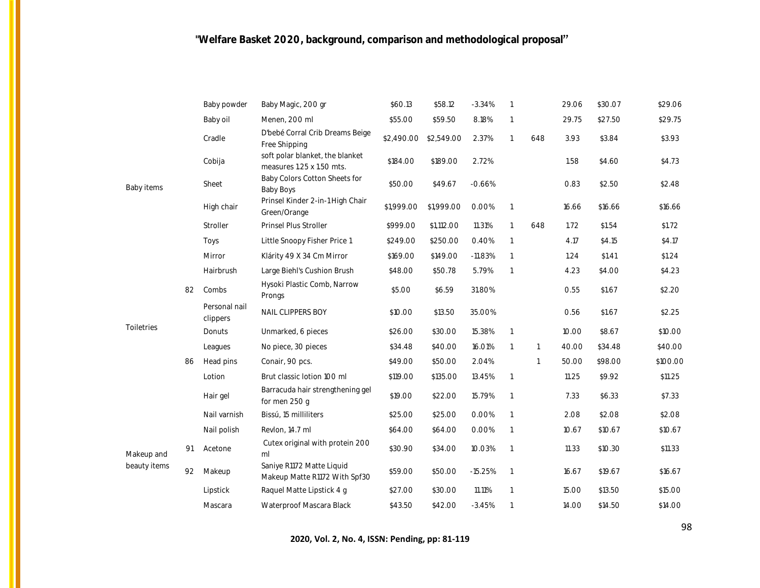|              |    | Baby powder               | Baby Magic, 200 gr                                           | \$60.13    | \$58.12    | $-3.34%$  |                |              | 29.06 | \$30.07 | \$29.06  |
|--------------|----|---------------------------|--------------------------------------------------------------|------------|------------|-----------|----------------|--------------|-------|---------|----------|
|              |    | Baby oil                  | Menen, 200 ml                                                | \$55.00    | \$59.50    | 8.18%     |                |              | 29.75 | \$27.50 | \$29.75  |
|              |    | Cradle                    | D'bebé Corral Crib Dreams Beige<br>Free Shipping             | \$2,490.00 | \$2,549.00 | 2.37%     | -1             | 648          | 3.93  | \$3.84  | \$3.93   |
|              |    | Cobija                    | soft polar blanket, the blanket<br>measures 1.25 x 1.50 mts. | \$184.00   | \$189.00   | 2.72%     |                |              | 1.58  | \$4.60  | \$4.73   |
| Baby items   |    | Sheet                     | Baby Colors Cotton Sheets for<br><b>Baby Boys</b>            | \$50.00    | \$49.67    | $-0.66%$  |                |              | 0.83  | \$2.50  | \$2.48   |
|              |    | High chair                | Prinsel Kinder 2-in-1 High Chair<br>Green/Orange             | \$1,999.00 | \$1,999.00 | 0.00%     | $\overline{1}$ |              | 16.66 | \$16.66 | \$16.66  |
|              |    | Stroller                  | Prinsel Plus Stroller                                        | \$999.00   | \$1,112.00 | 11.31%    | $\mathbf{1}$   | 648          | 1.72  | \$1.54  | \$1.72   |
|              |    | Toys                      | Little Snoopy Fisher Price 1                                 | \$249.00   | \$250.00   | 0.40%     | $\overline{1}$ |              | 4.17  | \$4.15  | \$4.17   |
|              |    | Mirror                    | Klárity 49 X 34 Cm Mirror                                    | \$169.00   | \$149.00   | $-11.83%$ | $\overline{1}$ |              | 1.24  | \$1.41  | \$1.24   |
|              |    | Hairbrush                 | Large Biehl's Cushion Brush                                  | \$48.00    | \$50.78    | 5.79%     | $\overline{1}$ |              | 4.23  | \$4.00  | \$4.23   |
|              | 82 | Combs                     | Hysoki Plastic Comb, Narrow<br>Prongs                        | \$5.00     | \$6.59     | 31.80%    |                |              | 0.55  | \$1.67  | \$2.20   |
|              |    | Personal nail<br>clippers | NAIL CLIPPERS BOY                                            | \$10.00    | \$13.50    | 35.00%    |                |              | 0.56  | \$1.67  | \$2.25   |
| Toiletries   |    | Donuts                    | Unmarked, 6 pieces                                           | \$26.00    | \$30.00    | 15.38%    | $\mathbf{1}$   |              | 10.00 | \$8.67  | \$10.00  |
|              |    | Leagues                   | No piece, 30 pieces                                          | \$34.48    | \$40.00    | 16.01%    | $\overline{1}$ | $\mathbf{1}$ | 40.00 | \$34.48 | \$40.00  |
|              | 86 | Head pins                 | Conair, 90 pcs.                                              | \$49.00    | \$50.00    | 2.04%     |                | $\mathbf{1}$ | 50.00 | \$98.00 | \$100.00 |
|              |    | Lotion                    | Brut classic lotion 100 ml                                   | \$119.00   | \$135.00   | 13.45%    | 1              |              | 11.25 | \$9.92  | \$11.25  |
|              |    | Hair gel                  | Barracuda hair strengthening gel<br>for men 250 g            | \$19.00    | \$22.00    | 15.79%    | $\overline{1}$ |              | 7.33  | \$6.33  | \$7.33   |
|              |    | Nail varnish              | Bissú, 15 milliliters                                        | \$25.00    | \$25.00    | 0.00%     |                |              | 2.08  | \$2.08  | \$2.08   |
|              |    | Nail polish               | Revlon, 14.7 ml                                              | \$64.00    | \$64.00    | 0.00%     | $\overline{1}$ |              | 10.67 | \$10.67 | \$10.67  |
| Makeup and   | 91 | Acetone                   | Cutex original with protein 200<br>ml                        | \$30.90    | \$34.00    | 10.03%    | $\overline{1}$ |              | 11.33 | \$10.30 | \$11.33  |
| beauty items | 92 | Makeup                    | Saniye R1172 Matte Liquid<br>Makeup Matte R1172 With Spf30   | \$59.00    | \$50.00    | $-15.25%$ | $\overline{1}$ |              | 16.67 | \$19.67 | \$16.67  |
|              |    | Lipstick                  | Raquel Matte Lipstick 4 g                                    | \$27.00    | \$30.00    | 11.11%    |                |              | 15.00 | \$13.50 | \$15.00  |
|              |    | Mascara                   | Waterproof Mascara Black                                     | \$43.50    | \$42.00    | $-3.45%$  |                |              | 14.00 | \$14.50 | \$14.00  |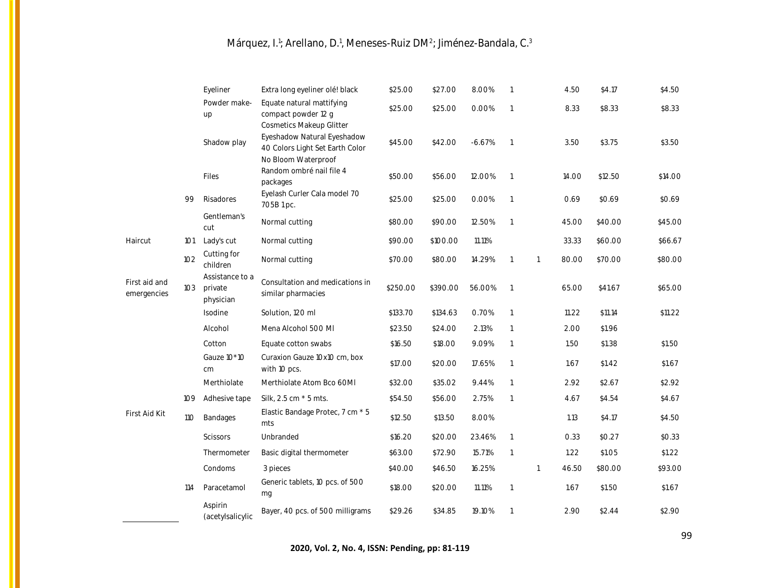|                              |            | Eyeliner                                | Extra long eyeliner olé! black                                               | \$25.00  | \$27.00  | 8.00%    | $\overline{1}$           |              | 4.50  | \$4.17  | \$4.50  |
|------------------------------|------------|-----------------------------------------|------------------------------------------------------------------------------|----------|----------|----------|--------------------------|--------------|-------|---------|---------|
|                              |            | Powder make-<br>up                      | Equate natural mattifying<br>compact powder 12 g<br>Cosmetics Makeup Glitter | \$25.00  | \$25.00  | 0.00%    | $\overline{1}$           |              | 8.33  | \$8.33  | \$8.33  |
|                              |            | Shadow play                             | Eyeshadow Natural Eyeshadow<br>40 Colors Light Set Earth Color               | \$45.00  | \$42.00  | $-6.67%$ | $\overline{1}$           |              | 3.50  | \$3.75  | \$3.50  |
|                              |            | Files                                   | No Bloom Waterproof<br>Random ombré nail file 4<br>packages                  | \$50.00  | \$56.00  | 12.00%   | $\overline{1}$           |              | 14.00 | \$12.50 | \$14.00 |
|                              | 99         | Risadores                               | Eyelash Curler Cala model 70<br>705B1pc.                                     | \$25.00  | \$25.00  | 0.00%    | $\overline{1}$           |              | 0.69  | \$0.69  | \$0.69  |
|                              |            | Gentleman's<br>cut                      | Normal cutting                                                               | \$80.00  | \$90.00  | 12.50%   | $\overline{1}$           |              | 45.00 | \$40.00 | \$45.00 |
| Haircut                      | 101        | Lady's cut                              | Normal cutting                                                               | \$90.00  | \$100.00 | 11.11%   |                          |              | 33.33 | \$60.00 | \$66.67 |
|                              | 102        | Cutting for<br>children                 | Normal cutting                                                               | \$70.00  | \$80.00  | 14.29%   | $\overline{1}$           | $\mathbf{1}$ | 80.00 | \$70.00 | \$80.00 |
| First aid and<br>emergencies | 103        | Assistance to a<br>private<br>physician | Consultation and medications in<br>similar pharmacies                        | \$250.00 | \$390.00 | 56.00%   | $\overline{1}$           |              | 65.00 | \$41.67 | \$65.00 |
|                              |            | Isodine                                 | Solution, 120 ml                                                             | \$133.70 | \$134.63 | 0.70%    | $\overline{1}$           |              | 11.22 | \$11.14 | \$11.22 |
|                              |            | Alcohol                                 | Mena Alcohol 500 MI                                                          | \$23.50  | \$24.00  | 2.13%    | $\overline{1}$           |              | 2.00  | \$1.96  |         |
|                              |            | Cotton                                  | Equate cotton swabs                                                          | \$16.50  | \$18.00  | 9.09%    | $\overline{1}$           |              | 1.50  | \$1.38  | \$1.50  |
|                              |            | Gauze 10*10<br>cm                       | Curaxion Gauze 10x10 cm, box<br>with 10 pcs.                                 | \$17.00  | \$20.00  | 17.65%   | $\overline{\phantom{a}}$ |              | 1.67  | \$1.42  | \$1.67  |
|                              |            | Merthiolate                             | Merthiolate Atom Bco 60MI                                                    | \$32.00  | \$35.02  | 9.44%    | $\overline{1}$           |              | 2.92  | \$2.67  | \$2.92  |
|                              | 109        | Adhesive tape                           | Silk, 2.5 cm * 5 mts.                                                        | \$54.50  | \$56.00  | 2.75%    | $\overline{1}$           |              | 4.67  | \$4.54  | \$4.67  |
| First Aid Kit                | <b>110</b> | Bandages                                | Elastic Bandage Protec, 7 cm * 5<br>mts                                      | \$12.50  | \$13.50  | 8.00%    |                          |              | 1.13  | \$4.17  | \$4.50  |
|                              |            | <b>Scissors</b>                         | Unbranded                                                                    | \$16.20  | \$20.00  | 23.46%   | $\overline{1}$           |              | 0.33  | \$0.27  | \$0.33  |
|                              |            | Thermometer                             | Basic digital thermometer                                                    | \$63.00  | \$72.90  | 15.71%   | $\overline{1}$           |              | 1.22  | \$1.05  | \$1.22  |
|                              |            | Condoms                                 | 3 pieces                                                                     | \$40.00  | \$46.50  | 16.25%   |                          | $\mathbf{1}$ | 46.50 | \$80.00 | \$93.00 |
|                              | 114        | Paracetamol                             | Generic tablets, 10 pcs. of 500<br>mg                                        | \$18.00  | \$20.00  | 11.11%   | $\overline{1}$           |              | 1.67  | \$1.50  | \$1.67  |
|                              |            | Aspirin<br>(acetylsalicylic             | Bayer, 40 pcs. of 500 milligrams                                             | \$29.26  | \$34.85  | 19.10%   | $\overline{1}$           |              | 2.90  | \$2.44  | \$2.90  |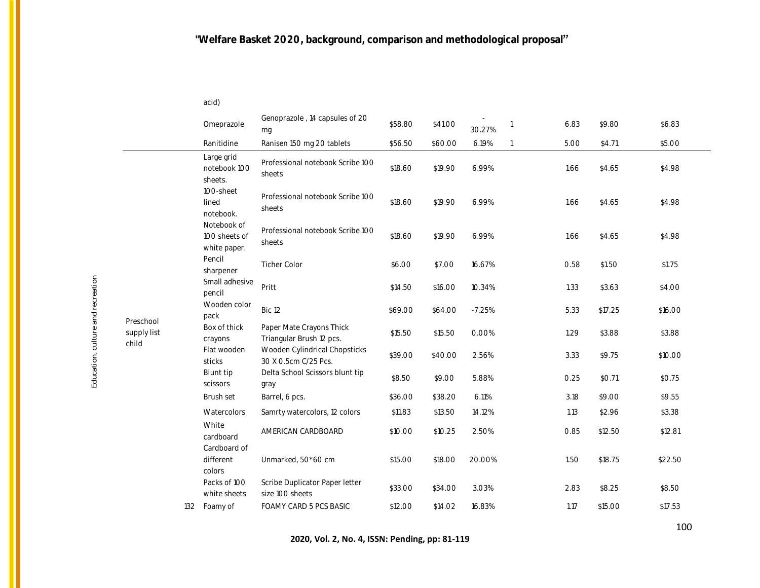| I |  |
|---|--|
|---|--|

|                      |                                              | Omeprazole                                 | Genoprazole, 14 capsules of 20<br>mg                  | \$58.80 | \$41.00 | 30.27%   | $\overline{1}$ | 6.83   | \$9.80  | \$6.83  |
|----------------------|----------------------------------------------|--------------------------------------------|-------------------------------------------------------|---------|---------|----------|----------------|--------|---------|---------|
|                      |                                              | Ranitidine                                 | Ranisen 150 mg 20 tablets                             | \$56.50 | \$60.00 | 6.19%    | $\mathbf{1}$   | 5.00   | \$4.71  | \$5.00  |
|                      |                                              | Large grid<br>notebook 100<br>sheets.      | Professional notebook Scribe 100<br>sheets            | \$18.60 | \$19.90 | 6.99%    |                | 1.66   | \$4.65  | \$4.98  |
|                      |                                              | 100-sheet<br>lined<br>notebook.            | Professional notebook Scribe 100<br>sheets            | \$18.60 | \$19.90 | 6.99%    |                | 1.66   | \$4.65  | \$4.98  |
|                      | Notebook of<br>100 sheets of<br>white paper. | Professional notebook Scribe 100<br>sheets | \$18.60                                               | \$19.90 | 6.99%   |          | 1.66           | \$4.65 | \$4.98  |         |
|                      | Pencil<br>sharpener                          | <b>Ticher Color</b>                        | \$6.00                                                | \$7.00  | 16.67%  |          | 0.58           | \$1.50 | \$1.75  |         |
|                      |                                              | Small adhesive<br>pencil                   | Pritt                                                 | \$14.50 | \$16.00 | 10.34%   |                | 1.33   | \$3.63  | \$4.00  |
| Preschool            |                                              | Wooden color<br>pack                       | Bic 12                                                | \$69.00 | \$64.00 | $-7.25%$ |                | 5.33   | \$17.25 | \$16.00 |
| supply list<br>child |                                              | Box of thick<br>crayons                    | Paper Mate Crayons Thick<br>Triangular Brush 12 pcs.  | \$15.50 | \$15.50 | 0.00%    |                | 1.29   | \$3.88  | \$3.88  |
|                      |                                              | Flat wooden<br>sticks                      | Wooden Cylindrical Chopsticks<br>30 X 0.5cm C/25 Pcs. | \$39.00 | \$40.00 | 2.56%    |                | 3.33   | \$9.75  | \$10.00 |
|                      |                                              | Blunt tip<br>scissors                      | Delta School Scissors blunt tip<br>gray               | \$8.50  | \$9.00  | 5.88%    |                | 0.25   | \$0.71  | \$0.75  |
|                      |                                              | Brush set                                  | Barrel, 6 pcs.                                        | \$36.00 | \$38.20 | 6.11%    |                | 3.18   | \$9.00  | \$9.55  |
|                      |                                              | Watercolors                                | Samrty watercolors, 12 colors                         | \$11.83 | \$13.50 | 14.12%   |                | 1.13   | \$2.96  | \$3.38  |
|                      |                                              | White<br>cardboard<br>Cardboard of         | AMERICAN CARDBOARD                                    | \$10.00 | \$10.25 | 2.50%    |                | 0.85   | \$12.50 | \$12.81 |
|                      |                                              | different<br>colors                        | Unmarked, 50*60 cm                                    | \$15.00 | \$18.00 | 20.00%   |                | 1.50   | \$18.75 | \$22.50 |
|                      |                                              | Packs of 100<br>white sheets               | Scribe Duplicator Paper letter<br>size 100 sheets     | \$33.00 | \$34.00 | 3.03%    |                | 2.83   | \$8.25  | \$8.50  |
|                      | 132                                          | Foamy of                                   | FOAMY CARD 5 PCS BASIC                                | \$12.00 | \$14.02 | 16.83%   |                | 1.17   | \$15.00 | \$17.53 |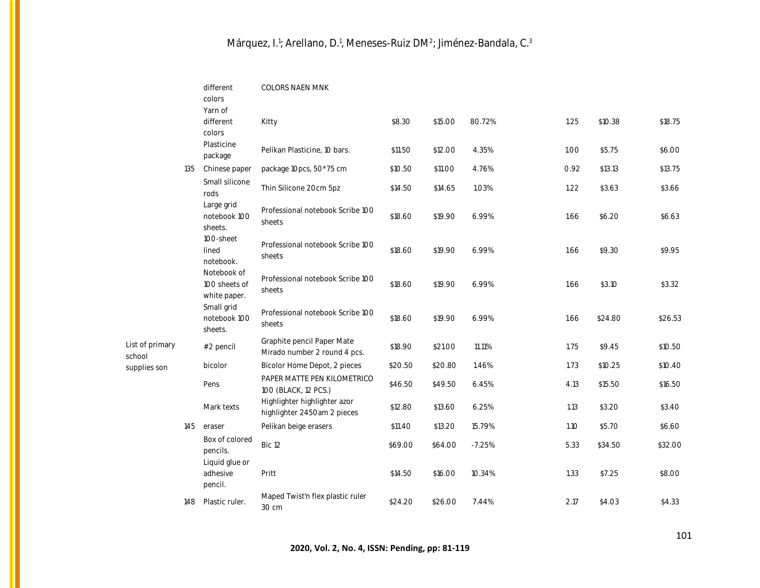|                           |     | different<br>colors<br>Yarn of<br>different  | COLORS NAEN MNK<br>Kitty                                    | \$8.30  | \$15.00 | 80.72%   | 1.25 | \$10.38 | \$18.75 |
|---------------------------|-----|----------------------------------------------|-------------------------------------------------------------|---------|---------|----------|------|---------|---------|
|                           |     | colors<br>Plasticine<br>package              | Pelikan Plasticine, 10 bars.                                | \$11.50 | \$12.00 | 4.35%    | 1.00 | \$5.75  | \$6.00  |
|                           | 135 | Chinese paper                                | package 10pcs, 50*75 cm                                     | \$10.50 | \$11.00 | 4.76%    | 0.92 | \$13.13 | \$13.75 |
|                           |     | Small silicone<br>rods                       | Thin Silicone 20cm 5pz                                      | \$14.50 | \$14.65 | 1.03%    | 1.22 | \$3.63  | \$3.66  |
|                           |     | Large grid<br>notebook 100<br>sheets.        | Professional notebook Scribe 100<br>sheets                  | \$18.60 | \$19.90 | 6.99%    | 1.66 | \$6.20  | \$6.63  |
|                           |     | 100-sheet<br>lined<br>notebook.              | Professional notebook Scribe 100<br>sheets                  | \$18.60 | \$19.90 | 6.99%    | 1.66 | \$9.30  | \$9.95  |
|                           |     | Notebook of<br>100 sheets of<br>white paper. | Professional notebook Scribe 100<br>sheets                  | \$18.60 | \$19.90 | 6.99%    | 1.66 | \$3.10  | \$3.32  |
|                           |     | Small grid<br>notebook 100<br>sheets.        | Professional notebook Scribe 100<br>sheets                  | \$18.60 | \$19.90 | 6.99%    | 1.66 | \$24.80 | \$26.53 |
| List of primary<br>school |     | #2 pencil                                    | Graphite pencil Paper Mate<br>Mirado number 2 round 4 pcs.  | \$18.90 | \$21.00 | 11.11%   | 1.75 | \$9.45  | \$10.50 |
| supplies son              |     | bicolor                                      | Bicolor Home Depot, 2 pieces                                | \$20.50 | \$20.80 | 1.46%    | 1.73 | \$10.25 | \$10.40 |
|                           |     | Pens                                         | PAPER MATTE PEN KILOMETRICO<br>100 (BLACK, 12 PCS.)         | \$46.50 | \$49.50 | 6.45%    | 4.13 | \$15.50 | \$16.50 |
|                           |     | Mark texts                                   | Highlighter highlighter azor<br>highlighter 2450am 2 pieces | \$12.80 | \$13.60 | 6.25%    | 1.13 | \$3.20  | \$3.40  |
|                           | 145 | eraser                                       | Pelikan beige erasers                                       | \$11.40 | \$13.20 | 15.79%   | 1.10 | \$5.70  | \$6.60  |
|                           |     | Box of colored<br>pencils.<br>Liquid glue or | Bic 12                                                      | \$69.00 | \$64.00 | $-7.25%$ | 5.33 | \$34.50 | \$32.00 |
|                           |     | adhesive<br>pencil.                          | Pritt                                                       | \$14.50 | \$16.00 | 10.34%   | 1.33 | \$7.25  | \$8.00  |
|                           | 148 | Plastic ruler.                               | Maped Twist'n flex plastic ruler<br>30 cm                   | \$24.20 | \$26.00 | 7.44%    | 2.17 | \$4.03  | \$4.33  |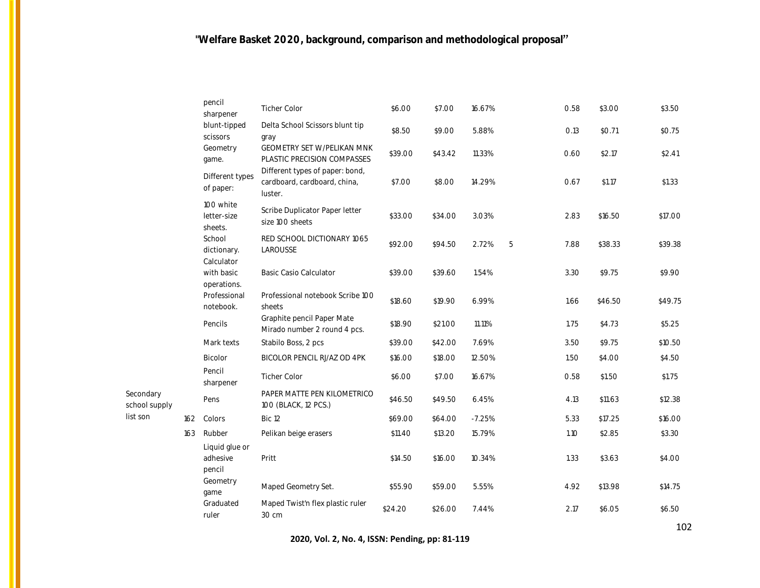|     | pencil<br>sharpener                  | <b>Ticher Color</b>                                                        | \$6.00  | \$7.00  | 16.67%   |   | 0.58 | \$3.00  | \$3.50  |
|-----|--------------------------------------|----------------------------------------------------------------------------|---------|---------|----------|---|------|---------|---------|
|     | blunt-tipped<br>scissors             | Delta School Scissors blunt tip<br>gray                                    | \$8.50  | \$9.00  | 5.88%    |   | O.13 | \$0.71  | \$0.75  |
|     | Geometry<br>game.                    | GEOMETRY SET W/PELIKAN MNK<br>PLASTIC PRECISION COMPASSES                  | \$39.00 | \$43.42 | 11.33%   |   | 0.60 | \$2.17  | \$2.41  |
|     | Different types<br>of paper:         | Different types of paper: bond,<br>cardboard, cardboard, china,<br>luster. | \$7.00  | \$8.00  | 14.29%   |   | 0.67 | \$1.17  | \$1.33  |
|     | 100 white<br>letter-size<br>sheets.  | Scribe Duplicator Paper letter<br>size 100 sheets                          | \$33.00 | \$34.00 | 3.03%    |   | 2.83 | \$16.50 | \$17.00 |
|     | School<br>dictionary.<br>Calculator  | RED SCHOOL DICTIONARY 1065<br>LAROUSSE                                     | \$92.00 | \$94.50 | 2.72%    | 5 | 7.88 | \$38.33 | \$39.38 |
|     | with basic<br>operations.            | <b>Basic Casio Calculator</b>                                              | \$39.00 | \$39.60 | 1.54%    |   | 3.30 | \$9.75  | \$9.90  |
|     | Professional<br>notebook.            | Professional notebook Scribe 100<br>sheets                                 | \$18.60 | \$19.90 | 6.99%    |   | 1.66 | \$46.50 | \$49.75 |
|     | Pencils                              | Graphite pencil Paper Mate<br>Mirado number 2 round 4 pcs.                 | \$18.90 | \$21.00 | 11.11%   |   | 1.75 | \$4.73  | \$5.25  |
|     | Mark texts                           | Stabilo Boss, 2 pcs                                                        | \$39.00 | \$42.00 | 7.69%    |   | 3.50 | \$9.75  | \$10.50 |
|     | Bicolor                              | BICOLOR PENCIL RJ/AZ OD 4PK                                                | \$16.00 | \$18.00 | 12.50%   |   | 1.50 | \$4.00  | \$4.50  |
|     | Pencil<br>sharpener                  | <b>Ticher Color</b>                                                        | \$6.00  | \$7.00  | 16.67%   |   | 0.58 | \$1.50  | \$1.75  |
|     | Pens                                 | PAPER MATTE PEN KILOMETRICO<br>100 (BLACK, 12 PCS.)                        | \$46.50 | \$49.50 | 6.45%    |   | 4.13 | \$11.63 | \$12.38 |
| 162 | Colors                               | Bic 12                                                                     | \$69.00 | \$64.00 | $-7.25%$ |   | 5.33 | \$17.25 | \$16.00 |
| 163 | Rubber                               | Pelikan beige erasers                                                      | \$11.40 | \$13.20 | 15.79%   |   | 1.10 | \$2.85  | \$3.30  |
|     | Liquid glue or<br>adhesive<br>pencil | Pritt                                                                      | \$14.50 | \$16.00 | 10.34%   |   | 1.33 | \$3.63  | \$4.00  |
|     | Geometry<br>qame                     | Maped Geometry Set.                                                        | \$55.90 | \$59.00 | 5.55%    |   | 4.92 | \$13.98 | \$14.75 |
|     | Graduated<br>ruler                   | Maped Twist'n flex plastic ruler<br>30 cm                                  | \$24.20 | \$26.00 | 7.44%    |   | 2.17 | \$6.05  | \$6.50  |
|     |                                      |                                                                            |         |         |          |   |      |         |         |

**2020, Vol. 2, No. 4, ISSN: Pending, pp: 81-119**

Secondary school supply list son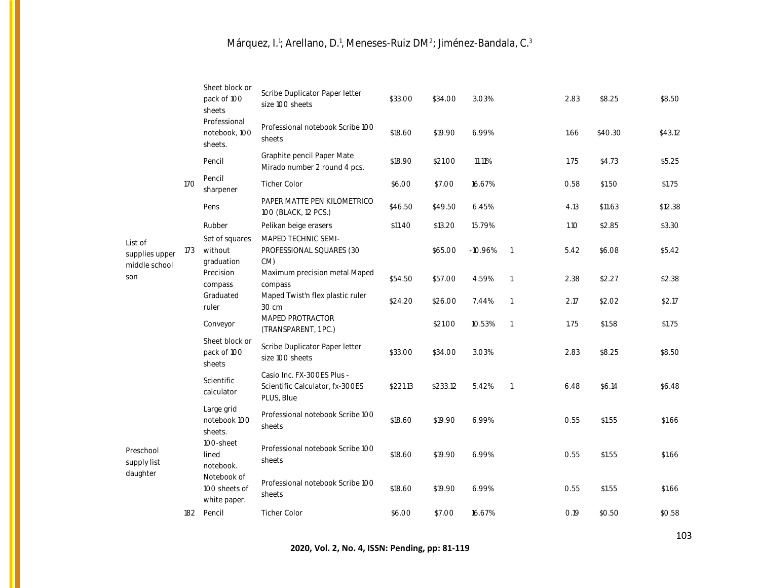|                                            |     | Sheet block or<br>pack of 100<br>sheets      | Scribe Duplicator Paper letter<br>size 100 sheets                           | \$33.00  | \$34.00  | 3.03%     |                          | 2.83 | \$8.25  | \$8.50  |
|--------------------------------------------|-----|----------------------------------------------|-----------------------------------------------------------------------------|----------|----------|-----------|--------------------------|------|---------|---------|
|                                            |     | Professional<br>notebook, 100<br>sheets.     | Professional notebook Scribe 100<br>sheets                                  | \$18.60  | \$19.90  | 6.99%     |                          | 1.66 | \$40.30 | \$43.12 |
|                                            |     | Pencil                                       | Graphite pencil Paper Mate<br>Mirado number 2 round 4 pcs.                  | \$18.90  | \$21.00  | 11.11%    |                          | 1.75 | \$4.73  | \$5.25  |
|                                            | 170 | Pencil<br>sharpener                          | <b>Ticher Color</b>                                                         | \$6.00   | \$7.00   | 16.67%    |                          | 0.58 | \$1.50  | \$1.75  |
|                                            |     | Pens                                         | PAPER MATTE PEN KILOMETRICO<br>100 (BLACK, 12 PCS.)                         | \$46.50  | \$49.50  | 6.45%     |                          | 4.13 | \$11.63 | \$12.38 |
|                                            |     | Rubber                                       | Pelikan beige erasers                                                       | \$11.40  | \$13.20  | 15.79%    |                          | 1.10 | \$2.85  | \$3.30  |
| List of<br>supplies upper<br>middle school | 173 | Set of squares<br>without<br>graduation      | MAPED TECHNIC SEMI-<br>PROFESSIONAL SQUARES (30<br>$CM$ )                   |          | \$65.00  | $-10.96%$ | $\overline{\phantom{a}}$ | 5.42 | \$6.08  | \$5.42  |
| son                                        |     | Precision<br>compass                         | Maximum precision metal Maped<br>compass                                    | \$54.50  | \$57.00  | 4.59%     | $\overline{1}$           | 2.38 | \$2.27  | \$2.38  |
|                                            |     | Graduated<br>ruler                           | Maped Twist'n flex plastic ruler<br>30 cm                                   | \$24.20  | \$26.00  | 7.44%     | $\overline{1}$           | 2.17 | \$2.02  | \$2.17  |
|                                            |     | Conveyor                                     | MAPED PROTRACTOR<br>(TRANSPARENT, 1 PC.)                                    |          | \$21.00  | 10.53%    | $\overline{1}$           | 1.75 | \$1.58  | \$1.75  |
|                                            |     | Sheet block or<br>pack of 100<br>sheets      | Scribe Duplicator Paper letter<br>size 100 sheets                           | \$33.00  | \$34.00  | 3.03%     |                          | 2.83 | \$8.25  | \$8.50  |
|                                            |     | Scientific<br>calculator                     | Casio Inc. FX-300ES Plus -<br>Scientific Calculator, fx-300ES<br>PLUS, Blue | \$221.13 | \$233.12 | 5.42%     | $\overline{1}$           | 6.48 | \$6.14  | \$6.48  |
|                                            |     | Large grid<br>notebook 100<br>sheets.        | Professional notebook Scribe 100<br>sheets                                  | \$18.60  | \$19.90  | 6.99%     |                          | 0.55 | \$1.55  | \$1.66  |
| Preschool<br>supply list                   |     | 100-sheet<br>lined<br>notebook.              | Professional notebook Scribe 100<br>sheets                                  | \$18.60  | \$19.90  | 6.99%     |                          | 0.55 | \$1.55  | \$1.66  |
| daughter                                   |     | Notebook of<br>100 sheets of<br>white paper. | Professional notebook Scribe 100<br>sheets                                  | \$18.60  | \$19.90  | 6.99%     |                          | 0.55 | \$1.55  | \$1.66  |
|                                            | 182 | Pencil                                       | <b>Ticher Color</b>                                                         | \$6.00   | \$7.00   | 16.67%    |                          | 0.19 | \$0.50  | \$0.58  |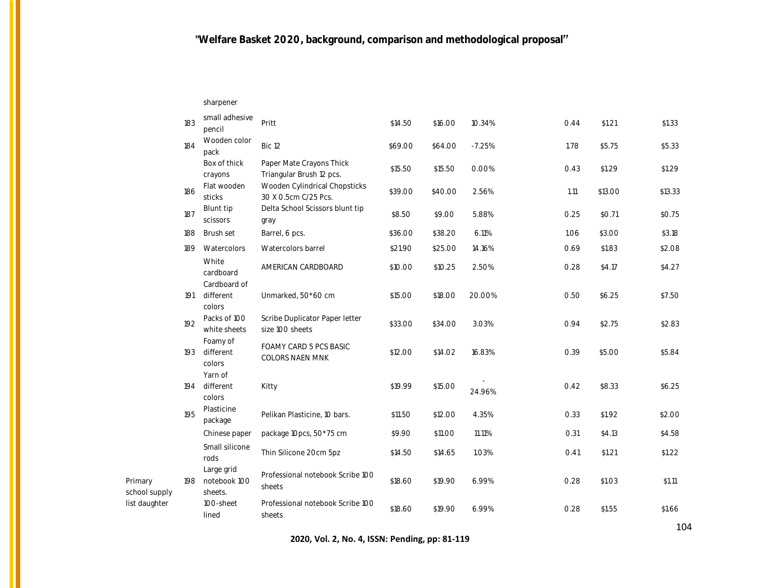sharpener

|                          | 183 | small adhesive<br>pencil                   | Pritt                                                 | \$14.50 | \$16.00 | 10.34%   | 0.44 | \$1.21  | \$1.33  |
|--------------------------|-----|--------------------------------------------|-------------------------------------------------------|---------|---------|----------|------|---------|---------|
|                          | 184 | Wooden color<br>pack                       | Bic 12                                                | \$69.00 | \$64.00 | $-7.25%$ | 1.78 | \$5.75  | \$5.33  |
|                          |     | Box of thick<br>crayons                    | Paper Mate Crayons Thick<br>Triangular Brush 12 pcs.  | \$15.50 | \$15.50 | 0.00%    | 0.43 | \$1.29  | \$1.29  |
|                          | 186 | Flat wooden<br>sticks                      | Wooden Cylindrical Chopsticks<br>30 X 0.5cm C/25 Pcs. | \$39.00 | \$40.00 | 2.56%    | 1.11 | \$13.00 | \$13.33 |
|                          | 187 | Blunt tip<br>scissors                      | Delta School Scissors blunt tip<br>gray               | \$8.50  | \$9.00  | 5.88%    | 0.25 | \$0.71  | \$0.75  |
|                          | 188 | Brush set                                  | Barrel, 6 pcs.                                        | \$36.00 | \$38.20 | 6.11%    | 1.06 | \$3.00  | \$3.18  |
|                          | 189 | Watercolors                                | Watercolors barrel                                    | \$21.90 | \$25.00 | 14.16%   | 0.69 | \$1.83  | \$2.08  |
|                          |     | White<br>cardboard<br>Cardboard of         | AMERICAN CARDBOARD                                    | \$10.00 | \$10.25 | 2.50%    | 0.28 | \$4.17  | \$4.27  |
|                          | 191 | different<br>colors                        | Unmarked, 50*60 cm                                    | \$15.00 | \$18.00 | 20.00%   | 0.50 | \$6.25  | \$7.50  |
|                          | 192 | Packs of 100<br>white sheets               | Scribe Duplicator Paper letter<br>size 100 sheets     | \$33.00 | \$34.00 | 3.03%    | 0.94 | \$2.75  | \$2.83  |
|                          | 193 | Foamy of<br>different<br>colors<br>Yarn of | FOAMY CARD 5 PCS BASIC<br>COLORS NAEN MNK             | \$12.00 | \$14.02 | 16.83%   | 0.39 | \$5.00  | \$5.84  |
|                          | 194 | different<br>colors                        | Kitty                                                 | \$19.99 | \$15.00 | 24.96%   | 0.42 | \$8.33  | \$6.25  |
|                          | 195 | Plasticine<br>package                      | Pelikan Plasticine, 10 bars.                          | \$11.50 | \$12.00 | 4.35%    | 0.33 | \$1.92  | \$2.00  |
|                          |     | Chinese paper                              | package 10pcs, 50*75 cm                               | \$9.90  | \$11.00 | 11.11%   | O.31 | \$4.13  | \$4.58  |
|                          |     | Small silicone<br>rods                     | Thin Silicone 20cm 5pz                                | \$14.50 | \$14.65 | 1.03%    | O.41 | \$1.21  | \$1.22  |
| Primary<br>school supply | 198 | Large grid<br>notebook 100<br>sheets.      | Professional notebook Scribe 100<br>sheets            | \$18.60 | \$19.90 | 6.99%    | 0.28 | \$1.03  | \$1.11  |
| list daughter            |     | 100-sheet<br>lined                         | Professional notebook Scribe 100<br>sheets            | \$18.60 | \$19.90 | 6.99%    | 0.28 | \$1.55  | \$1.66  |

**2020, Vol. 2, No. 4, ISSN: Pending, pp: 81-119**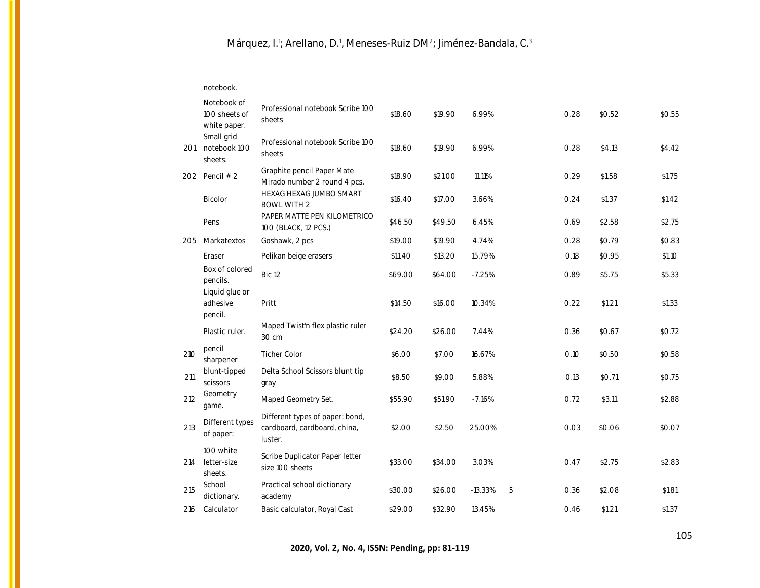notebook.

|     | Notebook of<br>100 sheets of<br>white paper. | Professional notebook Scribe 100<br>sheets                                 | \$18.60 | \$19.90 | 6.99%     |   | 0.28 | \$0.52 | \$0.55 |
|-----|----------------------------------------------|----------------------------------------------------------------------------|---------|---------|-----------|---|------|--------|--------|
| 201 | Small grid<br>notebook 100<br>sheets.        | Professional notebook Scribe 100<br>sheets                                 | \$18.60 | \$19.90 | 6.99%     |   | 0.28 | \$4.13 | \$4.42 |
| 202 | Pencil $# 2$                                 | Graphite pencil Paper Mate<br>Mirado number 2 round 4 pcs.                 | \$18.90 | \$21.00 | 11.11%    |   | 0.29 | \$1.58 | \$1.75 |
|     | <b>Bicolor</b>                               | HEXAG HEXAG JUMBO SMART<br><b>BOWL WITH 2</b>                              | \$16.40 | \$17.00 | 3.66%     |   | 0.24 | \$1.37 | \$1.42 |
|     | Pens                                         | PAPER MATTE PEN KILOMETRICO<br>100 (BLACK, 12 PCS.)                        | \$46.50 | \$49.50 | 6.45%     |   | 0.69 | \$2.58 | \$2.75 |
| 205 | Markatextos                                  | Goshawk, 2 pcs                                                             | \$19.00 | \$19.90 | 4.74%     |   | 0.28 | \$0.79 | \$0.83 |
|     | Eraser                                       | Pelikan beige erasers                                                      | \$11.40 | \$13.20 | 15.79%    |   | 0.18 | \$0.95 | \$1.10 |
|     | Box of colored<br>pencils.                   | Bic 12                                                                     | \$69.00 | \$64.00 | $-7.25%$  |   | 0.89 | \$5.75 | \$5.33 |
|     | Liquid glue or<br>adhesive<br>pencil.        | Pritt                                                                      | \$14.50 | \$16.00 | 10.34%    |   | 0.22 | \$1.21 | \$1.33 |
|     | Plastic ruler.                               | Maped Twist'n flex plastic ruler<br>30 cm                                  | \$24.20 | \$26.00 | 7.44%     |   | 0.36 | \$0.67 | \$0.72 |
| 210 | pencil<br>sharpener                          | <b>Ticher Color</b>                                                        | \$6.00  | \$7.00  | 16.67%    |   | O.1O | \$0.50 | \$0.58 |
| 211 | blunt-tipped<br>scissors                     | Delta School Scissors blunt tip<br>gray                                    | \$8.50  | \$9.00  | 5.88%     |   | 0.13 | \$0.71 | \$0.75 |
| 212 | Geometry<br>game.                            | Maped Geometry Set.                                                        | \$55.90 | \$51.90 | $-7.16%$  |   | 0.72 | \$3.11 | \$2.88 |
| 213 | Different types<br>of paper:                 | Different types of paper: bond,<br>cardboard, cardboard, china,<br>luster. | \$2.00  | \$2.50  | 25.00%    |   | 0.03 | \$0.06 | \$0.07 |
| 214 | 100 white<br>letter-size<br>sheets.          | Scribe Duplicator Paper letter<br>size 100 sheets                          | \$33.00 | \$34.00 | 3.03%     |   | 0.47 | \$2.75 | \$2.83 |
| 215 | School<br>dictionary.                        | Practical school dictionary<br>academy                                     | \$30.00 | \$26.00 | $-13.33%$ | 5 | 0.36 | \$2.08 | \$1.81 |
| 216 | Calculator                                   | Basic calculator, Royal Cast                                               | \$29.00 | \$32.90 | 13.45%    |   | 0.46 | \$1.21 | \$1.37 |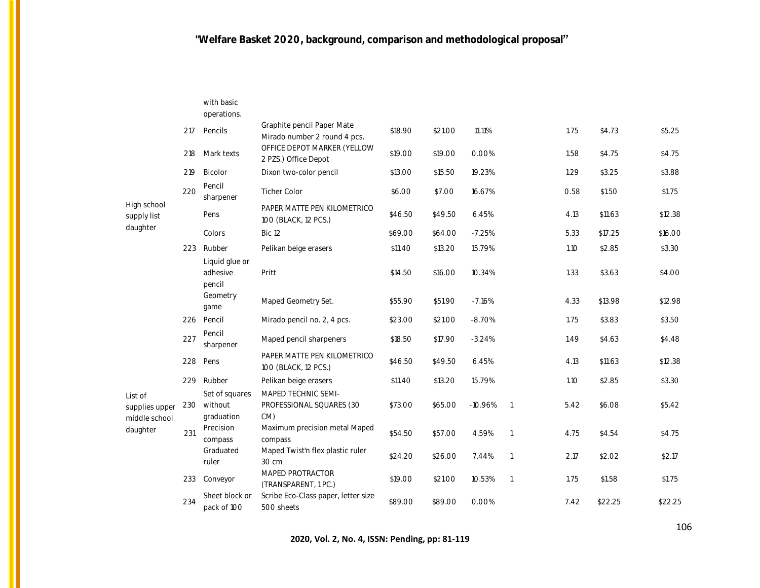|                                            |     | with basic<br>operations.               |                                                            |         |         |           |                |      |         |         |
|--------------------------------------------|-----|-----------------------------------------|------------------------------------------------------------|---------|---------|-----------|----------------|------|---------|---------|
|                                            | 217 | Pencils                                 | Graphite pencil Paper Mate<br>Mirado number 2 round 4 pcs. | \$18.90 | \$21.00 | 11.11%    |                | 1.75 | \$4.73  | \$5.25  |
|                                            | 218 | Mark texts                              | OFFICE DEPOT MARKER (YELLOW<br>2 PZS.) Office Depot        | \$19.00 | \$19.00 | 0.00%     |                | 1.58 | \$4.75  | \$4.75  |
|                                            | 219 | Bicolor                                 | Dixon two-color pencil                                     | \$13.00 | \$15.50 | 19.23%    |                | 1.29 | \$3.25  | \$3.88  |
|                                            | 220 | Pencil<br>sharpener                     | <b>Ticher Color</b>                                        | \$6.00  | \$7.00  | 16.67%    |                | 0.58 | \$1.50  | \$1.75  |
| High school<br>supply list                 |     | Pens                                    | PAPER MATTE PEN KILOMETRICO<br>100 (BLACK, 12 PCS.)        | \$46.50 | \$49.50 | 6.45%     |                | 4.13 | \$11.63 | \$12.38 |
| daughter                                   |     | Colors                                  | Bic 12                                                     | \$69.00 | \$64.00 | $-7.25%$  |                | 5.33 | \$17.25 | \$16.00 |
|                                            | 223 | Rubber                                  | Pelikan beige erasers                                      | \$11.40 | \$13.20 | 15.79%    |                | 1.10 | \$2.85  | \$3.30  |
|                                            |     | Liquid glue or<br>adhesive<br>pencil    | Pritt                                                      | \$14.50 | \$16.00 | 10.34%    |                | 1.33 | \$3.63  | \$4.00  |
|                                            |     | Geometry<br>game                        | Maped Geometry Set.                                        | \$55.90 | \$51.90 | $-7.16%$  |                | 4.33 | \$13.98 | \$12.98 |
|                                            | 226 | Pencil                                  | Mirado pencil no. 2, 4 pcs.                                | \$23.00 | \$21.00 | $-8.70%$  |                | 1.75 | \$3.83  | \$3.50  |
|                                            | 227 | Pencil<br>sharpener                     | Maped pencil sharpeners                                    | \$18.50 | \$17.90 | $-3.24%$  |                | 1.49 | \$4.63  | \$4.48  |
|                                            | 228 | Pens                                    | PAPER MATTE PEN KILOMETRICO<br>100 (BLACK, 12 PCS.)        | \$46.50 | \$49.50 | 6.45%     |                | 4.13 | \$11.63 | \$12.38 |
|                                            | 229 | Rubber                                  | Pelikan beige erasers                                      | \$11.40 | \$13.20 | 15.79%    |                | 1.10 | \$2.85  | \$3.30  |
| List of<br>supplies upper<br>middle school | 230 | Set of squares<br>without<br>graduation | MAPED TECHNIC SEMI-<br>PROFESSIONAL SQUARES (30<br>$CM$ )  | \$73.00 | \$65.00 | $-10.96%$ | $\overline{1}$ | 5.42 | \$6.08  | \$5.42  |
| daughter                                   | 231 | Precision<br>compass                    | Maximum precision metal Maped<br>compass                   | \$54.50 | \$57.00 | 4.59%     | $\overline{1}$ | 4.75 | \$4.54  | \$4.75  |
|                                            |     | Graduated<br>ruler                      | Maped Twist'n flex plastic ruler<br>30 cm                  | \$24.20 | \$26.00 | 7.44%     | $\overline{1}$ | 2.17 | \$2.02  | \$2.17  |
|                                            | 233 | Conveyor                                | MAPED PROTRACTOR<br>(TRANSPARENT, 1 PC.)                   | \$19.00 | \$21.00 | 10.53%    | $\overline{1}$ | 1.75 | \$1.58  | \$1.75  |
|                                            | 234 | Sheet block or<br>pack of 100           | Scribe Eco-Class paper, letter size<br>500 sheets          | \$89.00 | \$89.00 | 0.00%     |                | 7.42 | \$22.25 | \$22.25 |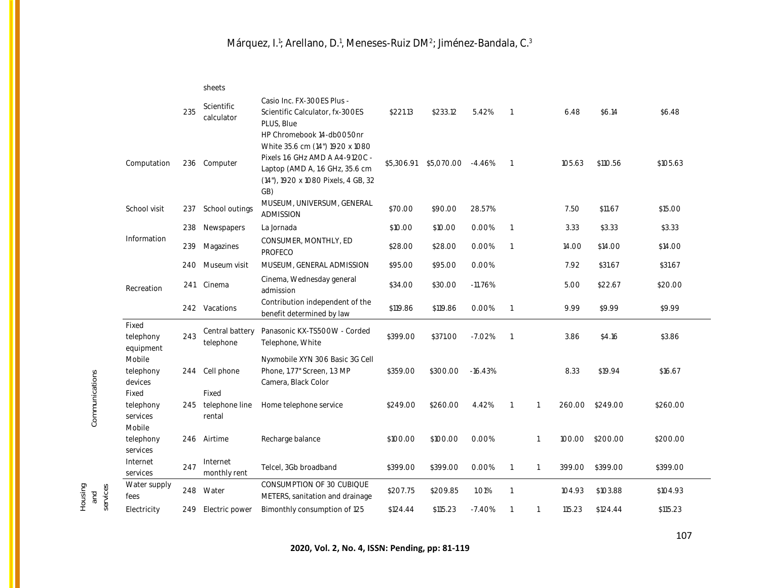|                                          |     | sheets                            |                                                                                                                                                                                  |            |            |           |                |                |        |          |          |
|------------------------------------------|-----|-----------------------------------|----------------------------------------------------------------------------------------------------------------------------------------------------------------------------------|------------|------------|-----------|----------------|----------------|--------|----------|----------|
|                                          | 235 | Scientific<br>calculator          | Casio Inc. FX-300ES Plus -<br>Scientific Calculator, fx-300ES<br>PLUS, Blue                                                                                                      | \$221.13   | \$233.12   | 5.42%     | $\overline{1}$ |                | 6.48   | \$6.14   | \$6.48   |
| Computation                              | 236 | Computer                          | HP Chromebook 14-dbOO5Onr<br>White 35.6 cm (14") 1920 x 1080<br>Pixels 1.6 GHz AMD A A4-9120C -<br>Laptop (AMD A, 1.6 GHz, 35.6 cm<br>(14"), 1920 x 1080 Pixels, 4 GB, 32<br>GB) | \$5.306.91 | \$5,070.00 | $-4.46%$  | $\overline{1}$ |                | 105.63 | \$110.56 | \$105.63 |
| School visit                             | 237 | School outings                    | MUSEUM, UNIVERSUM, GENERAL<br><b>ADMISSION</b>                                                                                                                                   | \$70.00    | \$90.00    | 28.57%    |                |                | 7.50   | \$11.67  | \$15.00  |
|                                          | 238 | Newspapers                        | La Jornada                                                                                                                                                                       | \$10.00    | \$10.00    | 0.00%     | $\overline{1}$ |                | 3.33   | \$3.33   | \$3.33   |
| Information                              | 239 | Magazines                         | CONSUMER, MONTHLY, ED<br>PROFECO                                                                                                                                                 | \$28.00    | \$28.00    | 0.00%     | $\overline{1}$ |                | 14.00  | \$14.00  | \$14.00  |
|                                          | 240 | Museum visit                      | MUSEUM, GENERAL ADMISSION                                                                                                                                                        | \$95.00    | \$95.00    | 0.00%     |                |                | 7.92   | \$31.67  | \$31.67  |
| Recreation                               | 241 | Cinema                            | Cinema, Wednesday general<br>admission                                                                                                                                           | \$34.00    | \$30.00    | $-11.76%$ |                |                | 5.00   | \$22.67  | \$20.00  |
|                                          |     | 242 Vacations                     | Contribution independent of the<br>benefit determined by law                                                                                                                     | \$119.86   | \$119.86   | 0.00%     | $\overline{1}$ |                | 9.99   | \$9.99   | \$9.99   |
| Fixed<br>telephony<br>equipment          | 243 | Central battery<br>telephone      | Panasonic KX-TS500W - Corded<br>Telephone, White                                                                                                                                 | \$399.00   | \$371.00   | $-7.02%$  | $\overline{1}$ |                | 3.86   | \$4.16   | \$3.86   |
| Mobile<br>telephony<br>devices           | 244 | Cell phone                        | Nyxmobile XYN 306 Basic 3G Cell<br>Phone, 1.77" Screen, 1.3 MP<br>Camera, Black Color                                                                                            | \$359.00   | \$300.00   | $-16.43%$ |                |                | 8.33   | \$19.94  | \$16.67  |
| Fixed<br>telephony<br>services<br>Mobile | 245 | Fixed<br>telephone line<br>rental | Home telephone service                                                                                                                                                           | \$249.00   | \$260.00   | 4.42%     | $\overline{1}$ | $\overline{1}$ | 260.00 | \$249.00 | \$260.00 |
| telephony<br>services                    | 246 | Airtime                           | Recharge balance                                                                                                                                                                 | \$100.00   | \$100.00   | 0.00%     |                | $\overline{1}$ | 100.00 | \$200.00 | \$200.00 |
| Internet<br>services                     | 247 | Internet<br>monthly rent          | Telcel, 3Gb broadband                                                                                                                                                            | \$399.00   | \$399.00   | 0.00%     | $\overline{1}$ | $\overline{1}$ | 399.00 | \$399.00 | \$399.00 |
| Water supply<br>fees                     | 248 | Water                             | CONSUMPTION OF 30 CUBIQUE<br>METERS, sanitation and drainage                                                                                                                     | \$207.75   | \$209.85   | 1.01%     | $\overline{1}$ |                | 104.93 | \$103.88 | \$104.93 |
| Electricity                              | 249 | Electric power                    | Bimonthly consumption of 125                                                                                                                                                     | \$124.44   | \$115.23   | $-7.40%$  | $\overline{1}$ | -1             | 115.23 | \$124.44 | \$115.23 |

Communications Communications

Housing and services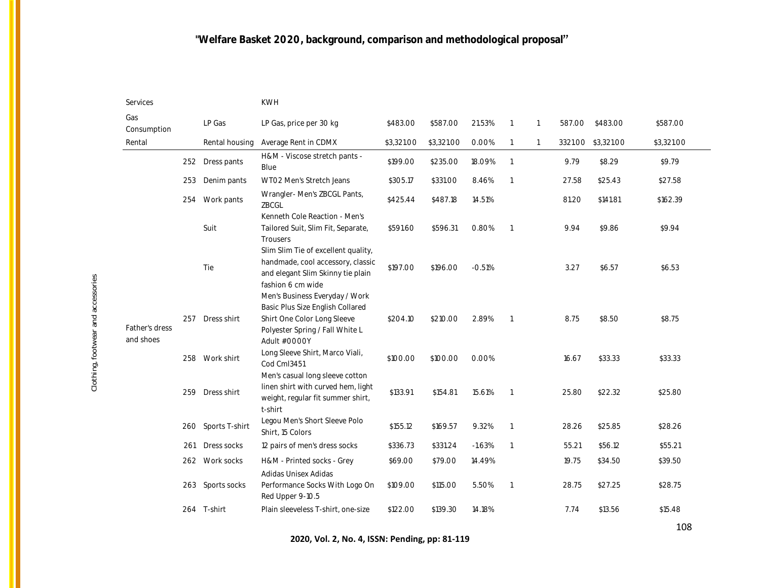| Services                    |     |                | <b>KWH</b>                                                                                                                                           |            |            |          |                |                |         |            |            |
|-----------------------------|-----|----------------|------------------------------------------------------------------------------------------------------------------------------------------------------|------------|------------|----------|----------------|----------------|---------|------------|------------|
| Gas<br>Consumption          |     | LP Gas         | LP Gas, price per 30 kg                                                                                                                              | \$483.00   | \$587.00   | 21.53%   | -1             | -1             | 587.00  | \$483.00   | \$587.00   |
| Rental                      |     | Rental housing | Average Rent in CDMX                                                                                                                                 | \$3,321.00 | \$3,321.00 | 0.00%    | $\overline{1}$ | $\overline{1}$ | 3321.00 | \$3,321.00 | \$3,321.00 |
|                             | 252 | Dress pants    | H&M - Viscose stretch pants -<br>Blue                                                                                                                | \$199.00   | \$235.00   | 18.09%   | $\overline{1}$ |                | 9.79    | \$8.29     | \$9.79     |
|                             | 253 | Denim pants    | WTO2 Men's Stretch Jeans                                                                                                                             | \$305.17   | \$331.00   | 8.46%    | $\overline{1}$ |                | 27.58   | \$25.43    | \$27.58    |
|                             | 254 | Work pants     | Wrangler-Men's ZBCGL Pants,<br>ZBCGL                                                                                                                 | \$425.44   | \$487.18   | 14.51%   |                |                | 81.20   | \$141.81   | \$162.39   |
|                             |     | Suit           | Kenneth Cole Reaction - Men's<br>Tailored Suit, Slim Fit, Separate,<br>Trousers                                                                      | \$591.60   | \$596.31   | 0.80%    | $\overline{1}$ |                | 9.94    | \$9.86     | \$9.94     |
|                             |     | Tie            | Slim Slim Tie of excellent quality,<br>handmade, cool accessory, classic<br>and elegant Slim Skinny tie plain<br>fashion 6 cm wide                   | \$197.00   | \$196.00   | $-0.51%$ |                |                | 3.27    | \$6.57     | \$6.53     |
| Father's dress<br>and shoes | 257 | Dress shirt    | Men's Business Everyday / Work<br>Basic Plus Size English Collared<br>Shirt One Color Long Sleeve<br>Polyester Spring / Fall White L<br>Adult #0000Y | \$204.10   | \$210.00   | 2.89%    | $\overline{1}$ |                | 8.75    | \$8.50     | \$8.75     |
|                             |     | 258 Work shirt | Long Sleeve Shirt, Marco Viali,<br>Cod CmI3451                                                                                                       | \$100.00   | \$100.00   | 0.00%    |                |                | 16.67   | \$33.33    | \$33.33    |
|                             | 259 | Dress shirt    | Men's casual long sleeve cotton<br>linen shirt with curved hem, light<br>weight, regular fit summer shirt,<br>t-shirt                                | \$133.91   | \$154.81   | 15.61%   | $\overline{1}$ |                | 25.80   | \$22.32    | \$25.80    |
|                             | 260 | Sports T-shirt | Legou Men's Short Sleeve Polo<br>Shirt, 15 Colors                                                                                                    | \$155.12   | \$169.57   | 9.32%    | $\overline{1}$ |                | 28.26   | \$25.85    | \$28.26    |
|                             | 261 | Dress socks    | 12 pairs of men's dress socks                                                                                                                        | \$336.73   | \$331.24   | $-1.63%$ | $\overline{1}$ |                | 55.21   | \$56.12    | \$55.21    |
|                             | 262 | Work socks     | H&M - Printed socks - Grey                                                                                                                           | \$69.00    | \$79.00    | 14.49%   |                |                | 19.75   | \$34.50    | \$39.50    |
|                             | 263 | Sports socks   | Adidas Unisex Adidas<br>Performance Socks With Logo On<br>Red Upper 9-10.5                                                                           | \$109.00   | \$115.00   | 5.50%    | $\overline{1}$ |                | 28.75   | \$27.25    | \$28.75    |
|                             |     | 264 T-shirt    | Plain sleeveless T-shirt, one-size                                                                                                                   | \$122.00   | \$139.30   | 14.18%   |                |                | 7.74    | \$13.56    | \$15.48    |

**2020, Vol. 2, No. 4, ISSN: Pending, pp: 81-119**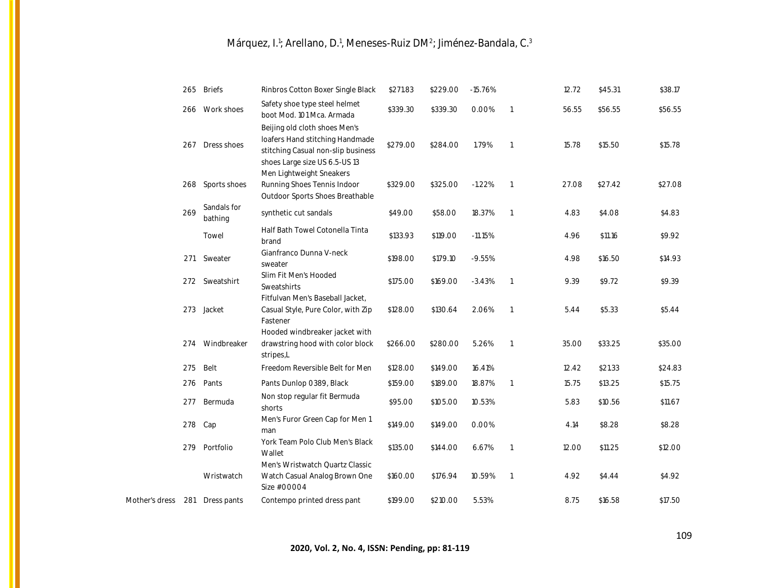|                |     | 265 Briefs             | Rinbros Cotton Boxer Single Black                                                                                                       | \$271.83 | \$229.00 | $-15.76%$ |                | 12.72 | \$45.31 | \$38.17 |
|----------------|-----|------------------------|-----------------------------------------------------------------------------------------------------------------------------------------|----------|----------|-----------|----------------|-------|---------|---------|
|                | 266 | Work shoes             | Safety shoe type steel helmet<br>boot Mod. 101 Mca. Armada                                                                              | \$339.30 | \$339.30 | 0.00%     | $\mathbf{1}$   | 56.55 | \$56.55 | \$56.55 |
|                | 267 | Dress shoes            | Beijing old cloth shoes Men's<br>loafers Hand stitching Handmade<br>stitching Casual non-slip business<br>shoes Large size US 6.5-US 13 | \$279.00 | \$284.00 | 1.79%     | $\mathbf{1}$   | 15.78 | \$15.50 | \$15.78 |
|                |     | 268 Sports shoes       | Men Lightweight Sneakers<br>Running Shoes Tennis Indoor<br>Outdoor Sports Shoes Breathable                                              | \$329.00 | \$325.00 | $-1.22%$  | 1              | 27.08 | \$27.42 | \$27.08 |
|                | 269 | Sandals for<br>bathing | synthetic cut sandals                                                                                                                   | \$49.00  | \$58.00  | 18.37%    | $\overline{1}$ | 4.83  | \$4.08  | \$4.83  |
|                |     | Towel                  | Half Bath Towel Cotonella Tinta<br>brand                                                                                                | \$133.93 | \$119.00 | $-11.15%$ |                | 4.96  | \$11.16 | \$9.92  |
|                | 271 | Sweater                | Gianfranco Dunna V-neck<br>sweater                                                                                                      | \$198.00 | \$179.10 | $-9.55%$  |                | 4.98  | \$16.50 | \$14.93 |
|                |     | 272 Sweatshirt         | Slim Fit Men's Hooded<br>Sweatshirts                                                                                                    | \$175.00 | \$169.00 | $-3.43%$  | $\overline{1}$ | 9.39  | \$9.72  | \$9.39  |
|                |     | 273 Jacket             | Fitfulvan Men's Baseball Jacket,<br>Casual Style, Pure Color, with Zip<br>Fastener                                                      | \$128.00 | \$130.64 | 2.06%     | $\mathbf{1}$   | 5.44  | \$5.33  | \$5.44  |
|                |     | 274 Windbreaker        | Hooded windbreaker jacket with<br>drawstring hood with color block<br>stripes,L                                                         | \$266.00 | \$280.00 | 5.26%     | $\mathbf{1}$   | 35.00 | \$33.25 | \$35.00 |
|                | 275 | Belt                   | Freedom Reversible Belt for Men                                                                                                         | \$128.00 | \$149.00 | 16.41%    |                | 12.42 | \$21.33 | \$24.83 |
|                | 276 | Pants                  | Pants Dunlop 0389, Black                                                                                                                | \$159.00 | \$189.00 | 18.87%    | $\mathbf{1}$   | 15.75 | \$13.25 | \$15.75 |
|                | 277 | Bermuda                | Non stop regular fit Bermuda<br>shorts                                                                                                  | \$95.00  | \$105.00 | 10.53%    |                | 5.83  | \$10.56 | \$11.67 |
|                | 278 | Cap                    | Men's Furor Green Cap for Men 1<br>man                                                                                                  | \$149.00 | \$149.00 | 0.00%     |                | 4.14  | \$8.28  | \$8.28  |
|                |     | 279 Portfolio          | York Team Polo Club Men's Black<br>Wallet                                                                                               | \$135.00 | \$144.00 | 6.67%     | $\mathbf{1}$   | 12.00 | \$11.25 | \$12.00 |
|                |     | Wristwatch             | Men's Wristwatch Quartz Classic<br>Watch Casual Analog Brown One<br>Size #00004                                                         | \$160.00 | \$176.94 | 10.59%    | $\overline{1}$ | 4.92  | \$4.44  | \$4.92  |
| Mother's dress | 281 | Dress pants            | Contempo printed dress pant                                                                                                             | \$199.00 | \$210.00 | 5.53%     |                | 8.75  | \$16.58 | \$17.50 |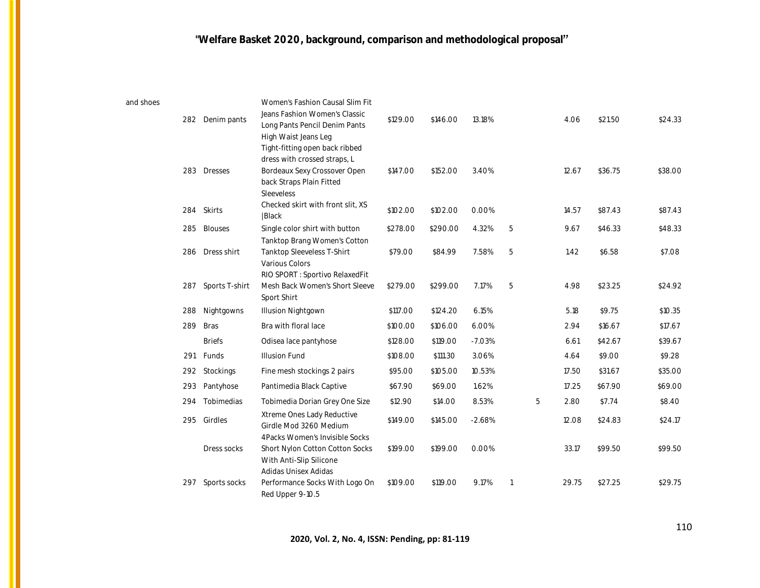and

| shoes | 282 | Denim pants    | Women's Fashion Causal Slim Fit<br>Jeans Fashion Women's Classic<br>Long Pants Pencil Denim Pants<br>High Waist Jeans Leg<br>Tight-fitting open back ribbed | \$129.00 | \$146.00 | 13.18%   |   |   | 4.06  | \$21.50 | \$24.33 |
|-------|-----|----------------|-------------------------------------------------------------------------------------------------------------------------------------------------------------|----------|----------|----------|---|---|-------|---------|---------|
|       |     | 283 Dresses    | dress with crossed straps, L<br>Bordeaux Sexy Crossover Open<br>back Straps Plain Fitted<br>Sleeveless                                                      | \$147.00 | \$152.00 | 3.40%    |   |   | 12.67 | \$36.75 | \$38.00 |
|       | 284 | Skirts         | Checked skirt with front slit, XS<br> Black                                                                                                                 | \$102.00 | \$102.00 | 0.00%    |   |   | 14.57 | \$87.43 | \$87.43 |
|       | 285 | <b>Blouses</b> | Single color shirt with button                                                                                                                              | \$278.00 | \$290.00 | 4.32%    | 5 |   | 9.67  | \$46.33 | \$48.33 |
|       | 286 | Dress shirt    | Tanktop Brang Women's Cotton<br>Tanktop Sleeveless T-Shirt<br>Various Colors                                                                                | \$79.00  | \$84.99  | 7.58%    | 5 |   | 1.42  | \$6.58  | \$7.08  |
|       | 287 | Sports T-shirt | RIO SPORT : Sportivo RelaxedFit<br>Mesh Back Women's Short Sleeve<br>Sport Shirt                                                                            | \$279.00 | \$299.00 | 7.17%    | 5 |   | 4.98  | \$23.25 | \$24.92 |
|       | 288 | Nightgowns     | Illusion Nightgown                                                                                                                                          | \$117.00 | \$124.20 | 6.15%    |   |   | 5.18  | \$9.75  | \$10.35 |
|       | 289 | <b>Bras</b>    | Bra with floral lace                                                                                                                                        | \$100.00 | \$106.00 | 6.00%    |   |   | 2.94  | \$16.67 | \$17.67 |
|       |     | <b>Briefs</b>  | Odisea lace pantyhose                                                                                                                                       | \$128.00 | \$119.00 | $-7.03%$ |   |   | 6.61  | \$42.67 | \$39.67 |
|       | 291 | Funds          | <b>Illusion Fund</b>                                                                                                                                        | \$108.00 | \$111.30 | 3.06%    |   |   | 4.64  | \$9.00  | \$9.28  |
|       | 292 | Stockings      | Fine mesh stockings 2 pairs                                                                                                                                 | \$95.00  | \$105.00 | 10.53%   |   |   | 17.50 | \$31.67 | \$35.00 |
|       | 293 | Pantyhose      | Pantimedia Black Captive                                                                                                                                    | \$67.90  | \$69.00  | 1.62%    |   |   | 17.25 | \$67.90 | \$69.00 |
|       | 294 | Tobimedias     | Tobimedia Dorian Grey One Size                                                                                                                              | \$12.90  | \$14.00  | 8.53%    |   | 5 | 2.80  | \$7.74  | \$8.40  |
|       | 295 | Girdles        | Xtreme Ones Lady Reductive<br>Girdle Mod 3260 Medium                                                                                                        | \$149.00 | \$145.00 | $-2.68%$ |   |   | 12.08 | \$24.83 | \$24.17 |
|       |     | Dress socks    | 4Packs Women's Invisible Socks<br>Short Nylon Cotton Cotton Socks<br>With Anti-Slip Silicone<br>Adidas Unisex Adidas                                        | \$199.00 | \$199.00 | 0.00%    |   |   | 33.17 | \$99.50 | \$99.50 |
|       | 297 | Sports socks   | Performance Socks With Logo On<br>Red Upper 9-10.5                                                                                                          | \$109.00 | \$119.00 | 9.17%    |   |   | 29.75 | \$27.25 | \$29.75 |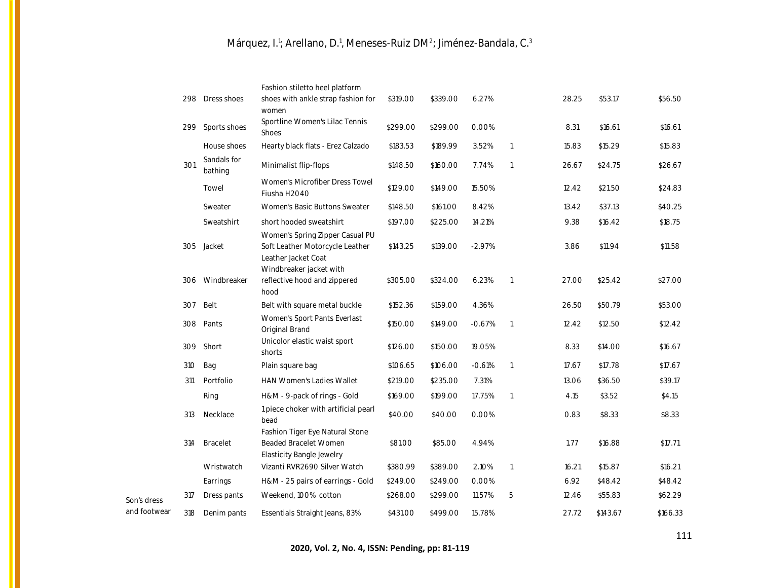|              |     |                        | Fashion stiletto heel platform                                                                                       |          |          |          |                |       |          |          |
|--------------|-----|------------------------|----------------------------------------------------------------------------------------------------------------------|----------|----------|----------|----------------|-------|----------|----------|
|              |     | 298 Dress shoes        | shoes with ankle strap fashion for<br>women                                                                          | \$319.00 | \$339.00 | 6.27%    |                | 28.25 | \$53.17  | \$56.50  |
|              | 299 | Sports shoes           | Sportline Women's Lilac Tennis<br>Shoes                                                                              | \$299.00 | \$299.00 | 0.00%    |                | 8.31  | \$16.61  | \$16.61  |
|              |     | House shoes            | Hearty black flats - Erez Calzado                                                                                    | \$183.53 | \$189.99 | 3.52%    | $\overline{1}$ | 15.83 | \$15.29  | \$15.83  |
|              | 301 | Sandals for<br>bathing | Minimalist flip-flops                                                                                                | \$148.50 | \$160.00 | 7.74%    | $\overline{1}$ | 26.67 | \$24.75  | \$26.67  |
|              |     | Towel                  | Women's Microfiber Dress Towel<br>Fiusha H2O4O                                                                       | \$129.00 | \$149.00 | 15.50%   |                | 12.42 | \$21.50  | \$24.83  |
|              |     | Sweater                | Women's Basic Buttons Sweater                                                                                        | \$148.50 | \$161.00 | 8.42%    |                | 13.42 | \$37.13  | \$40.25  |
|              |     | Sweatshirt             | short hooded sweatshirt                                                                                              | \$197.00 | \$225.00 | 14.21%   |                | 9.38  | \$16.42  | \$18.75  |
|              |     | 305 Jacket             | Women's Spring Zipper Casual PU<br>Soft Leather Motorcycle Leather<br>Leather Jacket Coat<br>Windbreaker jacket with | \$143.25 | \$139.00 | $-2.97%$ |                | 3.86  | \$11.94  | \$11.58  |
|              | 306 | Windbreaker            | reflective hood and zippered<br>hood                                                                                 | \$305.00 | \$324.00 | 6.23%    | $\overline{1}$ | 27.00 | \$25.42  | \$27.00  |
|              | 307 | Belt                   | Belt with square metal buckle                                                                                        | \$152.36 | \$159.00 | 4.36%    |                | 26.50 | \$50.79  | \$53.00  |
|              | 308 | Pants                  | Women's Sport Pants Everlast<br>Original Brand                                                                       | \$150.00 | \$149.00 | $-0.67%$ | $\overline{1}$ | 12.42 | \$12.50  | \$12.42  |
|              |     | 309 Short              | Unicolor elastic waist sport<br>shorts                                                                               | \$126.00 | \$150.00 | 19.05%   |                | 8.33  | \$14.00  | \$16.67  |
|              | 310 | Bag                    | Plain square bag                                                                                                     | \$106.65 | \$106.00 | $-0.61%$ | $\overline{1}$ | 17.67 | \$17.78  | \$17.67  |
|              | 311 | Portfolio              | <b>HAN Women's Ladies Wallet</b>                                                                                     | \$219.00 | \$235.00 | 7.31%    |                | 13.06 | \$36.50  | \$39.17  |
|              |     | Ring                   | H&M - 9-pack of rings - Gold                                                                                         | \$169.00 | \$199.00 | 17.75%   | 1              | 4.15  | \$3.52   | \$4.15   |
|              | 313 | Necklace               | 1 piece choker with artificial pearl<br>bead                                                                         | \$40.00  | \$40.00  | 0.00%    |                | 0.83  | \$8.33   | \$8.33   |
|              | 314 | <b>Bracelet</b>        | Fashion Tiger Eye Natural Stone<br>Beaded Bracelet Women<br>Elasticity Bangle Jewelry                                | \$81.00  | \$85.00  | 4.94%    |                | 1.77  | \$16.88  | \$17.71  |
|              |     | Wristwatch             | Vizanti RVR2690 Silver Watch                                                                                         | \$380.99 | \$389.00 | 2.10%    | 1              | 16.21 | \$15.87  | \$16.21  |
|              |     | Earrings               | H&M - 25 pairs of earrings - Gold                                                                                    | \$249.00 | \$249.00 | 0.00%    |                | 6.92  | \$48.42  | \$48.42  |
| Son's dress  | 317 | Dress pants            | Weekend, 100% cotton                                                                                                 | \$268.00 | \$299.00 | 11.57%   | 5              | 12.46 | \$55.83  | \$62.29  |
| and footwear | 318 | Denim pants            | Essentials Straight Jeans, 83%                                                                                       | \$431.00 | \$499.00 | 15.78%   |                | 27.72 | \$143.67 | \$166.33 |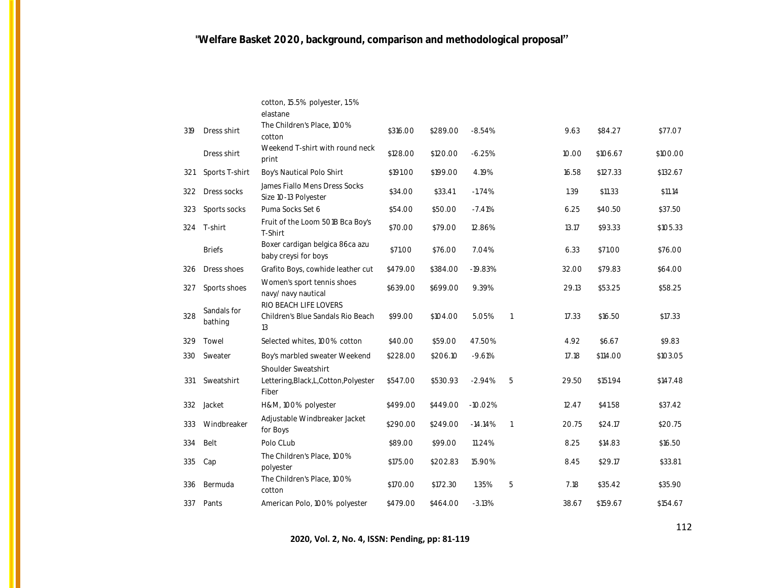|     |                        | cotton, 15.5% polyester, 1.5%<br>elastane                              |          |          |           |                |       |          |          |
|-----|------------------------|------------------------------------------------------------------------|----------|----------|-----------|----------------|-------|----------|----------|
| 319 | Dress shirt            | The Children's Place, 100%<br>cotton                                   | \$316.00 | \$289.00 | $-8.54%$  |                | 9.63  | \$84.27  | \$77.07  |
|     | Dress shirt            | Weekend T-shirt with round neck<br>print                               | \$128.00 | \$120.00 | $-6.25%$  |                | 10.00 | \$106.67 | \$100.00 |
| 321 | Sports T-shirt         | Boy's Nautical Polo Shirt                                              | \$191.00 | \$199.00 | 4.19%     |                | 16.58 | \$127.33 | \$132.67 |
| 322 | Dress socks            | James Fiallo Mens Dress Socks<br>Size 10-13 Polyester                  | \$34.00  | \$33.41  | $-1.74%$  |                | 1.39  | \$11.33  | \$11.14  |
| 323 | Sports socks           | Puma Socks Set 6                                                       | \$54.00  | \$50.00  | $-7.41%$  |                | 6.25  | \$40.50  | \$37.50  |
| 324 | T-shirt                | Fruit of the Loom 501B Bca Boy's<br>T-Shirt                            | \$70.00  | \$79.00  | 12.86%    |                | 13.17 | \$93.33  | \$105.33 |
|     | <b>Briefs</b>          | Boxer cardigan belgica 86ca azu<br>baby creysi for boys                | \$71.00  | \$76.00  | 7.04%     |                | 6.33  | \$71.00  | \$76.00  |
| 326 | Dress shoes            | Grafito Boys, cowhide leather cut                                      | \$479.00 | \$384.00 | $-19.83%$ |                | 32.00 | \$79.83  | \$64.00  |
| 327 | Sports shoes           | Women's sport tennis shoes<br>navy/ navy nautical                      | \$639.00 | \$699.00 | 9.39%     |                | 29.13 | \$53.25  | \$58.25  |
| 328 | Sandals for<br>bathing | RIO BEACH LIFE LOVERS<br>Children's Blue Sandals Rio Beach<br>13       | \$99.00  | \$104.00 | 5.05%     | $\overline{1}$ | 17.33 | \$16.50  | \$17.33  |
| 329 | Towel                  | Selected whites, 100% cotton                                           | \$40.00  | \$59.00  | 47.50%    |                | 4.92  | \$6.67   | \$9.83   |
| 33O | Sweater                | Boy's marbled sweater Weekend                                          | \$228.00 | \$206.10 | $-9.61%$  |                | 17.18 | \$114.00 | \$103.05 |
| 331 | Sweatshirt             | Shoulder Sweatshirt<br>Lettering, Black, L, Cotton, Polyester<br>Fiber | \$547.00 | \$530.93 | $-2.94%$  | 5              | 29.50 | \$151.94 | \$147.48 |
| 332 | Jacket                 | H&M, 100% polyester                                                    | \$499.00 | \$449.00 | $-10.02%$ |                | 12.47 | \$41.58  | \$37.42  |
| 333 | Windbreaker            | Adjustable Windbreaker Jacket<br>for Boys                              | \$290.00 | \$249.00 | $-14.14%$ | $\overline{1}$ | 20.75 | \$24.17  | \$20.75  |
| 334 | Belt                   | Polo CLub                                                              | \$89.00  | \$99.00  | 11.24%    |                | 8.25  | \$14.83  | \$16.50  |
| 335 | Cap                    | The Children's Place, 100%<br>polyester                                | \$175.00 | \$202.83 | 15.90%    |                | 8.45  | \$29.17  | \$33.81  |
| 336 | Bermuda                | The Children's Place, 100%<br>cotton                                   | \$170.00 | \$172.30 | 1.35%     | 5              | 7.18  | \$35.42  | \$35.90  |
| 337 | Pants                  | American Polo, 100% polyester                                          | \$479.00 | \$464.00 | $-3.13%$  |                | 38.67 | \$159.67 | \$154.67 |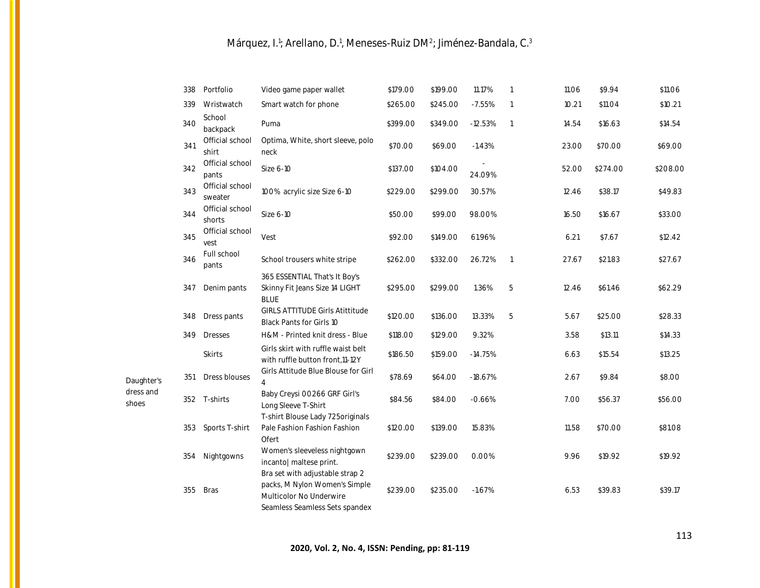|                    | 338 | Portfolio                  | Video game paper wallet                                                                                                       | \$179.00 | \$199.00 | 11.17%    | $\overline{1}$ | 11.06 | \$9.94   | \$11.06  |
|--------------------|-----|----------------------------|-------------------------------------------------------------------------------------------------------------------------------|----------|----------|-----------|----------------|-------|----------|----------|
|                    | 339 | Wristwatch                 | Smart watch for phone                                                                                                         | \$265.00 | \$245.00 | $-7.55%$  | $\overline{1}$ | 10.21 | \$11.04  | \$10.21  |
|                    | 340 | School<br>backpack         | Puma                                                                                                                          | \$399.00 | \$349.00 | $-12.53%$ | $\overline{1}$ | 14.54 | \$16.63  | \$14.54  |
|                    | 341 | Official school<br>shirt   | Optima, White, short sleeve, polo<br>neck                                                                                     | \$70.00  | \$69.00  | $-1.43%$  |                | 23.00 | \$70.00  | \$69.00  |
|                    | 342 | Official school<br>pants   | Size 6-10                                                                                                                     | \$137.00 | \$104.00 | 24.09%    |                | 52.00 | \$274.00 | \$208.00 |
|                    | 343 | Official school<br>sweater | 100% acrylic size Size 6-10                                                                                                   | \$229.00 | \$299.00 | 30.57%    |                | 12.46 | \$38.17  | \$49.83  |
|                    | 344 | Official school<br>shorts  | Size 6-10                                                                                                                     | \$50.00  | \$99.00  | 98.00%    |                | 16.50 | \$16.67  | \$33.00  |
|                    | 345 | Official school<br>vest    | Vest                                                                                                                          | \$92.00  | \$149.00 | 61.96%    |                | 6.21  | \$7.67   | \$12.42  |
|                    | 346 | Full school<br>pants       | School trousers white stripe                                                                                                  | \$262.00 | \$332.00 | 26.72%    | $\overline{1}$ | 27.67 | \$21.83  | \$27.67  |
|                    | 347 | Denim pants                | 365 ESSENTIAL That's It Boy's<br>Skinny Fit Jeans Size 14 LIGHT<br><b>BLUE</b>                                                | \$295.00 | \$299.00 | 1.36%     | 5              | 12.46 | \$61.46  | \$62.29  |
|                    | 348 | Dress pants                | <b>GIRLS ATTITUDE Girls Atittitude</b><br>Black Pants for Girls 10                                                            | \$120.00 | \$136.00 | 13.33%    | 5              | 5.67  | \$25.00  | \$28.33  |
|                    | 349 | <b>Dresses</b>             | H&M - Printed knit dress - Blue                                                                                               | \$118.00 | \$129.00 | 9.32%     |                | 3.58  | \$13.11  | \$14.33  |
|                    |     | Skirts                     | Girls skirt with ruffle waist belt<br>with ruffle button front, 11-12Y                                                        | \$186.50 | \$159.00 | $-14.75%$ |                | 6.63  | \$15.54  | \$13.25  |
| Daughter's         | 351 | Dress blouses              | Girls Attitude Blue Blouse for Girl<br>4                                                                                      | \$78.69  | \$64.00  | $-18.67%$ |                | 2.67  | \$9.84   | \$8.00   |
| dress and<br>shoes |     | 352 T-shirts               | Baby Creysi 00266 GRF Girl's<br>Long Sleeve T-Shirt                                                                           | \$84.56  | \$84.00  | $-0.66%$  |                | 7.00  | \$56.37  | \$56.00  |
|                    | 353 | Sports T-shirt             | T-shirt Blouse Lady 725originals<br>Pale Fashion Fashion Fashion<br>Ofert                                                     | \$120.00 | \$139.00 | 15.83%    |                | 11.58 | \$70.00  | \$81.08  |
|                    | 354 | Nightgowns                 | Women's sleeveless nightgown<br>incanto  maltese print.                                                                       | \$239.00 | \$239.00 | 0.00%     |                | 9.96  | \$19.92  | \$19.92  |
|                    | 355 | <b>Bras</b>                | Bra set with adjustable strap 2<br>packs, M Nylon Women's Simple<br>Multicolor No Underwire<br>Seamless Seamless Sets spandex | \$239.00 | \$235.00 | $-1.67%$  |                | 6.53  | \$39.83  | \$39.17  |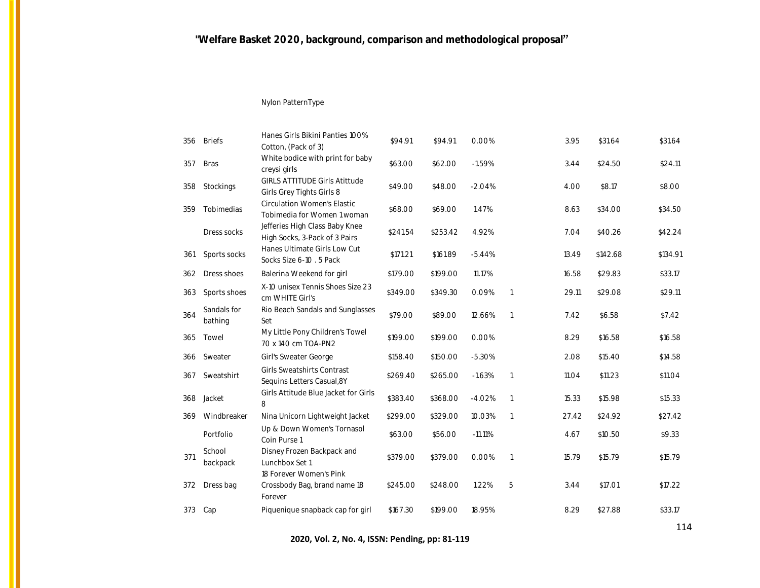### Nylon PatternType

| 356 | <b>Briefs</b>          | Hanes Girls Bikini Panties 100%<br>Cotton, (Pack of 3)                  | \$94.91  | \$94.91  | 0.00%     |                | 3.95  | \$31.64  | \$31.64  |
|-----|------------------------|-------------------------------------------------------------------------|----------|----------|-----------|----------------|-------|----------|----------|
| 357 | <b>Bras</b>            | White bodice with print for baby<br>creysi girls                        | \$63.00  | \$62.00  | $-1.59%$  |                | 3.44  | \$24.50  | \$24.11  |
| 358 | Stockings              | <b>GIRLS ATTITUDE Girls Atittude</b><br>Girls Grey Tights Girls 8       | \$49.00  | \$48.00  | $-2.04%$  |                | 4.00  | \$8.17   | \$8.00   |
| 359 | Tobimedias             | <b>Circulation Women's Elastic</b><br>Tobimedia for Women 1 woman       | \$68.00  | \$69.00  | 1.47%     |                | 8.63  | \$34.00  | \$34.50  |
|     | Dress socks            | Jefferies High Class Baby Knee<br>High Socks, 3-Pack of 3 Pairs         | \$241.54 | \$253.42 | 4.92%     |                | 7.04  | \$40.26  | \$42.24  |
| 361 | Sports socks           | Hanes Ultimate Girls Low Cut<br>Socks Size 6-10 . 5 Pack                | \$171.21 | \$161.89 | $-5.44%$  |                | 13.49 | \$142.68 | \$134.91 |
| 362 | Dress shoes            | Balerina Weekend for girl                                               | \$179.00 | \$199.00 | 11.17%    |                | 16.58 | \$29.83  | \$33.17  |
| 363 | Sports shoes           | X-10 unisex Tennis Shoes Size 23<br>cm WHITE Girl's                     | \$349.00 | \$349.30 | 0.09%     | $\overline{1}$ | 29.11 | \$29.08  | \$29.11  |
| 364 | Sandals for<br>bathing | Rio Beach Sandals and Sunglasses<br>Set                                 | \$79.00  | \$89.00  | 12.66%    | $\mathbf{1}$   | 7.42  | \$6.58   | \$7.42   |
| 365 | Towel                  | My Little Pony Children's Towel<br>70 x 140 cm TOA-PN2                  | \$199.00 | \$199.00 | 0.00%     |                | 8.29  | \$16.58  | \$16.58  |
| 366 | Sweater                | Girl's Sweater George                                                   | \$158.40 | \$150.00 | $-5.30%$  |                | 2.08  | \$15.40  | \$14.58  |
| 367 | Sweatshirt             | <b>Girls Sweatshirts Contrast</b><br>Sequins Letters Casual, 8Y         | \$269.40 | \$265.00 | $-1.63%$  | $\mathbf{1}$   | 11.04 | \$11.23  | \$11.04  |
| 368 | Jacket                 | Girls Attitude Blue Jacket for Girls<br>8                               | \$383.40 | \$368.00 | $-4.02%$  | $\mathbf{1}$   | 15.33 | \$15.98  | \$15.33  |
| 369 | Windbreaker            | Nina Unicorn Lightweight Jacket                                         | \$299.00 | \$329.00 | 10.03%    | $\mathbf{1}$   | 27.42 | \$24.92  | \$27.42  |
|     | Portfolio              | Up & Down Women's Tornasol<br>Coin Purse 1                              | \$63.00  | \$56.00  | $-11.11%$ |                | 4.67  | \$10.50  | \$9.33   |
| 371 | School<br>backpack     | Disney Frozen Backpack and<br>Lunchbox Set 1<br>18 Forever Women's Pink | \$379.00 | \$379.00 | 0.00%     | $\mathbf{1}$   | 15.79 | \$15.79  | \$15.79  |
| 372 | Dress bag              | Crossbody Bag, brand name 18<br>Forever                                 | \$245.00 | \$248.00 | 1.22%     | 5              | 3.44  | \$17.01  | \$17.22  |
| 373 | Cap                    | Piquenique snapback cap for girl                                        | \$167.30 | \$199.00 | 18.95%    |                | 8.29  | \$27.88  | \$33.17  |
|     |                        |                                                                         |          |          |           |                |       |          |          |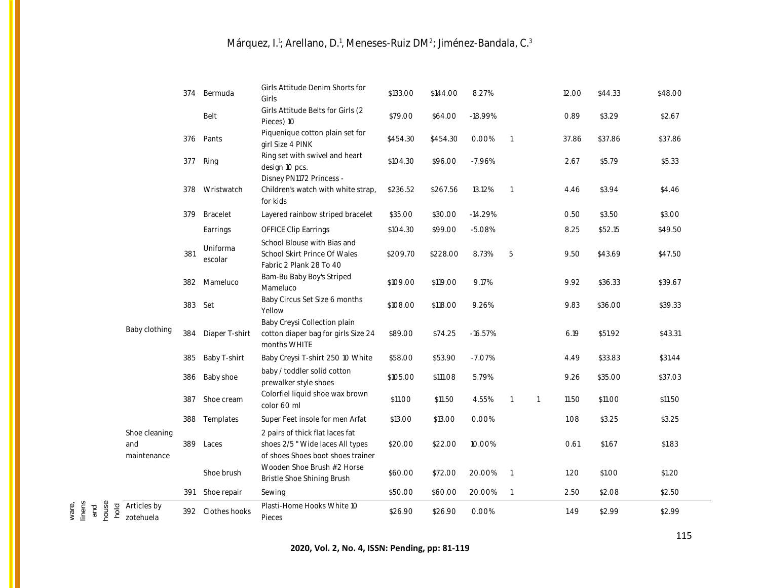|                                                                     | 374 | Bermuda             | Girls Attitude Denim Shorts for<br>Girls                                                                 | \$133.00 | \$144.00 | 8.27%     |                |                | 12.00 | \$44.33 | \$48.00 |
|---------------------------------------------------------------------|-----|---------------------|----------------------------------------------------------------------------------------------------------|----------|----------|-----------|----------------|----------------|-------|---------|---------|
|                                                                     |     | Belt                | Girls Attitude Belts for Girls (2<br>Pieces) 10                                                          | \$79.00  | \$64.00  | $-18.99%$ |                |                | 0.89  | \$3.29  | \$2.67  |
|                                                                     | 376 | Pants               | Piquenique cotton plain set for<br>girl Size 4 PINK                                                      | \$454.30 | \$454.30 | 0.00%     | $\overline{1}$ |                | 37.86 | \$37.86 | \$37.86 |
|                                                                     | 377 | Ring                | Ring set with swivel and heart<br>design 10 pcs.                                                         | \$104.30 | \$96.00  | $-7.96%$  |                |                | 2.67  | \$5.79  | \$5.33  |
|                                                                     | 378 | Wristwatch          | Disney PN1172 Princess -<br>Children's watch with white strap,<br>for kids                               | \$236.52 | \$267.56 | 13.12%    | $\overline{1}$ |                | 4.46  | \$3.94  | \$4.46  |
|                                                                     | 379 | Bracelet            | Layered rainbow striped bracelet                                                                         | \$35.00  | \$30.00  | $-14.29%$ |                |                | 0.50  | \$3.50  | \$3.00  |
|                                                                     |     | Earrings            | <b>OFFICE Clip Earrings</b>                                                                              | \$104.30 | \$99.00  | $-5.08%$  |                |                | 8.25  | \$52.15 | \$49.50 |
|                                                                     | 381 | Uniforma<br>escolar | School Blouse with Bias and<br>School Skirt Prince Of Wales<br>Fabric 2 Plank 28 To 40                   | \$209.70 | \$228.00 | 8.73%     | 5              |                | 9.50  | \$43.69 | \$47.50 |
|                                                                     | 382 | Mameluco            | Bam-Bu Baby Boy's Striped<br>Mameluco                                                                    | \$109.00 | \$119.00 | 9.17%     |                |                | 9.92  | \$36.33 | \$39.67 |
|                                                                     | 383 | Set                 | Baby Circus Set Size 6 months<br>Yellow                                                                  | \$108.00 | \$118.00 | 9.26%     |                |                | 9.83  | \$36.00 | \$39.33 |
| Baby clothing                                                       | 384 | Diaper T-shirt      | Baby Creysi Collection plain<br>cotton diaper bag for girls Size 24<br>months WHITE                      | \$89.00  | \$74.25  | $-16.57%$ |                |                | 6.19  | \$51.92 | \$43.31 |
|                                                                     | 385 | Baby T-shirt        | Baby Creysi T-shirt 250 10 White                                                                         | \$58.00  | \$53.90  | $-7.07%$  |                |                | 4.49  | \$33.83 | \$31.44 |
|                                                                     | 386 | Baby shoe           | baby / toddler solid cotton<br>prewalker style shoes                                                     | \$105.00 | \$111.08 | 5.79%     |                |                | 9.26  | \$35.00 | \$37.03 |
|                                                                     | 387 | Shoe cream          | Colorfiel liquid shoe wax brown<br>color 60 ml                                                           | \$11.00  | \$11.50  | 4.55%     | $\overline{1}$ | $\overline{1}$ | 11.50 | \$11.00 | \$11.50 |
|                                                                     |     | 388 Templates       | Super Feet insole for men Arfat                                                                          | \$13.00  | \$13.00  | 0.00%     |                |                | 1.08  | \$3.25  | \$3.25  |
| Shoe cleaning<br>and<br>maintenance                                 | 389 | Laces               | 2 pairs of thick flat laces fat<br>shoes 2/5 " Wide laces All types<br>of shoes Shoes boot shoes trainer | \$20.00  | \$22.00  | 10.00%    |                |                | 0.61  | \$1.67  | \$1.83  |
|                                                                     |     | Shoe brush          | Wooden Shoe Brush #2 Horse<br>Bristle Shoe Shining Brush                                                 | \$60.00  | \$72.00  | 20.00%    | $\overline{1}$ |                | 1.20  | \$1.00  | \$1.20  |
|                                                                     | 391 | Shoe repair         | Sewing                                                                                                   | \$50.00  | \$60.00  | 20.00%    | $\overline{1}$ |                | 2.50  | \$2.08  | \$2.50  |
| house<br>linens<br>Articles by<br>ware,<br>hold<br>and<br>zotehuela |     | 392 Clothes hooks   | Plasti-Home Hooks White 10<br>Pieces                                                                     | \$26.90  | \$26.90  | 0.00%     |                |                | 1.49  | \$2.99  | \$2.99  |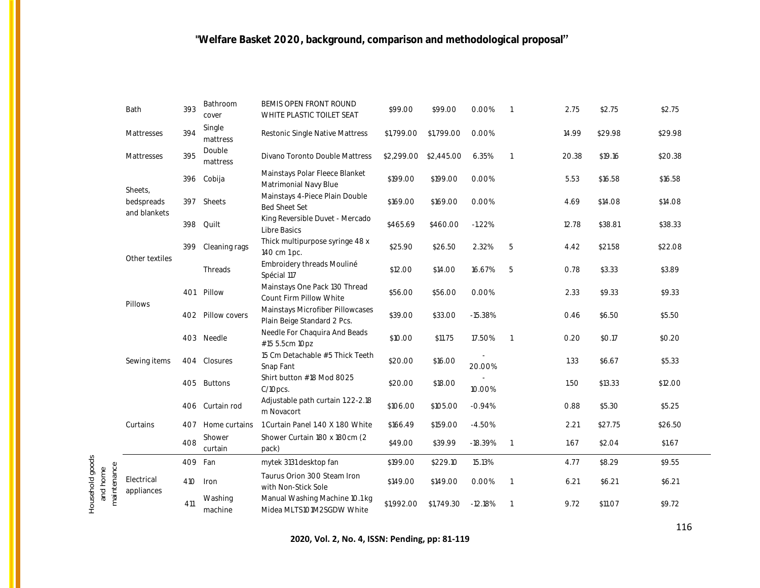|                                            | Bath                     | 393     | Bathroom<br>cover  | BEMIS OPEN FRONT ROUND<br>WHITE PLASTIC TOILET SEAT             | \$99.00    | \$99.00    | 0.00%     |                | 2.75  | \$2.75  | \$2.75  |
|--------------------------------------------|--------------------------|---------|--------------------|-----------------------------------------------------------------|------------|------------|-----------|----------------|-------|---------|---------|
|                                            | Mattresses               | 394     | Single<br>mattress | Restonic Single Native Mattress                                 | \$1,799.00 | \$1,799.00 | 0.00%     |                | 14.99 | \$29.98 | \$29.98 |
|                                            | Mattresses               | 395     | Double<br>mattress | Divano Toronto Double Mattress                                  | \$2,299.00 | \$2,445.00 | 6.35%     | $\overline{1}$ | 20.38 | \$19.16 | \$20.38 |
|                                            | Sheets.                  | 396     | Cobija             | Mainstays Polar Fleece Blanket<br>Matrimonial Navy Blue         | \$199.00   | \$199.00   | 0.00%     |                | 5.53  | \$16.58 | \$16.58 |
|                                            | bedspreads               | 397     | Sheets             | Mainstays 4-Piece Plain Double<br><b>Bed Sheet Set</b>          | \$169.00   | \$169.00   | 0.00%     |                | 4.69  | \$14.08 | \$14.08 |
|                                            | and blankets             | 398     | Quilt              | King Reversible Duvet - Mercado<br>Libre Basics                 | \$465.69   | \$460.00   | $-1.22%$  |                | 12.78 | \$38.81 | \$38.33 |
|                                            | Other textiles           | 399     | Cleaning rags      | Thick multipurpose syringe 48 x<br>140 cm 1 pc.                 | \$25.90    | \$26.50    | 2.32%     | 5              | 4.42  | \$21.58 | \$22.08 |
|                                            |                          |         | Threads            | Embroidery threads Mouliné<br>Spécial 117                       | \$12.00    | \$14.00    | 16.67%    | 5              | 0.78  | \$3.33  | \$3.89  |
|                                            |                          | 401     | Pillow             | Mainstays One Pack 130 Thread<br>Count Firm Pillow White        | \$56.00    | \$56.00    | 0.00%     |                | 2.33  | \$9.33  | \$9.33  |
|                                            | Pillows                  |         | 402 Pillow covers  | Mainstays Microfiber Pillowcases<br>Plain Beige Standard 2 Pcs. | \$39.00    | \$33.00    | $-15.38%$ |                | 0.46  | \$6.50  | \$5.50  |
|                                            |                          | 403     | Needle             | Needle For Chaquira And Beads<br>#15 5.5cm 10pz                 | \$10.00    | \$11.75    | 17.50%    | $\overline{1}$ | 0.20  | \$0.17  | \$0.20  |
|                                            | Sewing items             | 404     | Closures           | 15 Cm Detachable #5 Thick Teeth<br>Snap Fant                    | \$20.00    | \$16.00    | 20.00%    |                | 1.33  | \$6.67  | \$5.33  |
|                                            |                          | 405     | <b>Buttons</b>     | Shirt button #18 Mod 8025<br>C/10pcs.                           | \$20.00    | \$18.00    | 10.00%    |                | 1.50  | \$13.33 | \$12.00 |
|                                            |                          | 406     | Curtain rod        | Adjustable path curtain 1.22-2.18<br>m Novacort                 | \$106.00   | \$105.00   | $-0.94%$  |                | 0.88  | \$5.30  | \$5.25  |
|                                            | Curtains                 | 407     | Home curtains      | 1 Curtain Panel 1.40 X 1.80 White                               | \$166.49   | \$159.00   | $-4.50%$  |                | 2.21  | \$27.75 | \$26.50 |
|                                            |                          | 408     | Shower<br>curtain  | Shower Curtain 180 x 180cm (2<br>pack)                          | \$49.00    | \$39.99    | $-18.39%$ | $\overline{1}$ | 1.67  | \$2.04  | \$1.67  |
|                                            |                          | 409 Fan |                    | mytek 3131 desktop fan                                          | \$199.00   | \$229.10   | 15.13%    |                | 4.77  | \$8.29  | \$9.55  |
| Household goods<br>maintenance<br>and home | Electrical<br>appliances | 410     | Iron               | Taurus Orion 300 Steam Iron<br>with Non-Stick Sole              | \$149.00   | \$149.00   | 0.00%     | $\overline{1}$ | 6.21  | \$6.21  | \$6.21  |
|                                            |                          | 411     | Washing<br>machine | Manual Washing Machine 10.1 kg<br>Midea MLTS101M2SGDW White     | \$1,992.00 | \$1,749.30 | $-12.18%$ | $\overline{1}$ | 9.72  | \$11.07 | \$9.72  |
|                                            |                          |         |                    |                                                                 |            |            |           |                |       |         |         |

**2020, Vol. 2, No. 4, ISSN: Pending, pp: 81-119**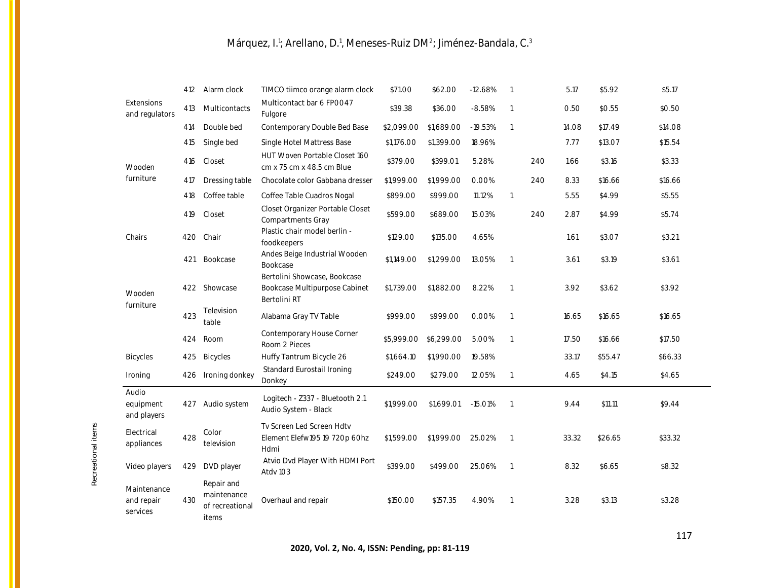|                                       | 412 | Alarm clock                                           | TIMCO tiimco orange alarm clock                                               | \$71.00    | \$62.00    | $-12.68%$ | $\overline{\phantom{0}}$ |     | 5.17  | \$5.92  | \$5.17  |
|---------------------------------------|-----|-------------------------------------------------------|-------------------------------------------------------------------------------|------------|------------|-----------|--------------------------|-----|-------|---------|---------|
| <b>Extensions</b><br>and regulators   | 413 | Multicontacts                                         | Multicontact bar 6 FPOO47<br>Fulgore                                          | \$39.38    | \$36.00    | $-8.58%$  | $\overline{1}$           |     | 0.50  | \$0.55  | \$0.50  |
|                                       | 414 | Double bed                                            | Contemporary Double Bed Base                                                  | \$2,099.00 | \$1,689.00 | $-19.53%$ | $\overline{1}$           |     | 14.08 | \$17.49 | \$14.08 |
|                                       | 415 | Single bed                                            | Single Hotel Mattress Base                                                    | \$1,176.00 | \$1,399.00 | 18.96%    |                          |     | 7.77  | \$13.07 | \$15.54 |
| Wooden                                | 416 | Closet                                                | HUT Woven Portable Closet 160<br>cm x 75 cm x 48.5 cm Blue                    | \$379.00   | \$399.01   | 5.28%     |                          | 240 | 1.66  | \$3.16  | \$3.33  |
| furniture                             | 417 | Dressing table                                        | Chocolate color Gabbana dresser                                               | \$1,999.00 | \$1,999.00 | $0.00\%$  |                          | 240 | 8.33  | \$16.66 | \$16.66 |
|                                       | 418 | Coffee table                                          | Coffee Table Cuadros Nogal                                                    | \$899.00   | \$999.00   | 11.12%    | $\overline{1}$           |     | 5.55  | \$4.99  | \$5.55  |
|                                       | 419 | Closet                                                | Closet Organizer Portable Closet<br>Compartments Gray                         | \$599.00   | \$689.00   | 15.03%    |                          | 240 | 2.87  | \$4.99  | \$5.74  |
| Chairs                                | 420 | Chair                                                 | Plastic chair model berlin -<br>foodkeepers                                   | \$129.00   | \$135.00   | 4.65%     |                          |     | 1.61  | \$3.07  | \$3.21  |
|                                       | 421 | Bookcase                                              | Andes Beige Industrial Wooden<br>Bookcase                                     | \$1,149.00 | \$1,299.00 | 13.05%    | $\overline{1}$           |     | 3.61  | \$3.19  | \$3.61  |
| Wooden                                |     | 422 Showcase                                          | Bertolini Showcase, Bookcase<br>Bookcase Multipurpose Cabinet<br>Bertolini RT | \$1,739.00 | \$1,882.00 | 8.22%     | $\overline{1}$           |     | 3.92  | \$3.62  | \$3.92  |
| furniture                             | 423 | Television<br>table                                   | Alabama Gray TV Table                                                         | \$999.00   | \$999.00   | $0.00\%$  | $\overline{\phantom{0}}$ |     | 16.65 | \$16.65 | \$16.65 |
|                                       | 424 | Room                                                  | Contemporary House Corner<br>Room 2 Pieces                                    | \$5,999.00 | \$6,299.00 | 5.00%     | $\overline{1}$           |     | 17.50 | \$16.66 | \$17.50 |
| <b>Bicycles</b>                       | 425 | Bicycles                                              | Huffy Tantrum Bicycle 26                                                      | \$1,664.10 | \$1,990.00 | 19.58%    |                          |     | 33.17 | \$55.47 | \$66.33 |
| Ironing                               | 426 | Ironing donkey                                        | Standard Eurostail Ironing<br>Donkey                                          | \$249.00   | \$279.00   | 12.05%    | $\overline{1}$           |     | 4.65  | \$4.15  | \$4.65  |
| Audio<br>equipment<br>and players     | 427 | Audio system                                          | Logitech - Z337 - Bluetooth 2.1<br>Audio System - Black                       | \$1,999.00 | \$1,699.01 | $-15.01%$ | $\overline{1}$           |     | 9.44  | \$11.11 | \$9.44  |
| Electrical<br>appliances              | 428 | Color<br>television                                   | Ty Screen Led Screen Hdty<br>Element Elefw195 19 720p 60hz<br>Hdmi            | \$1,599.00 | \$1,999.00 | 25.02%    | $\overline{\phantom{0}}$ |     | 33.32 | \$26.65 | \$33.32 |
| Video players                         | 429 | DVD player                                            | Atvio Dvd Player With HDMI Port<br>Atdv 103                                   | \$399.00   | \$499.00   | 25.06%    | $\overline{1}$           |     | 8.32  | \$6.65  | \$8.32  |
| Maintenance<br>and repair<br>services | 430 | Repair and<br>maintenance<br>of recreational<br>items | Overhaul and repair                                                           | \$150.00   | \$157.35   | 4.90%     | $\overline{1}$           |     | 3.28  | \$3.13  | \$3.28  |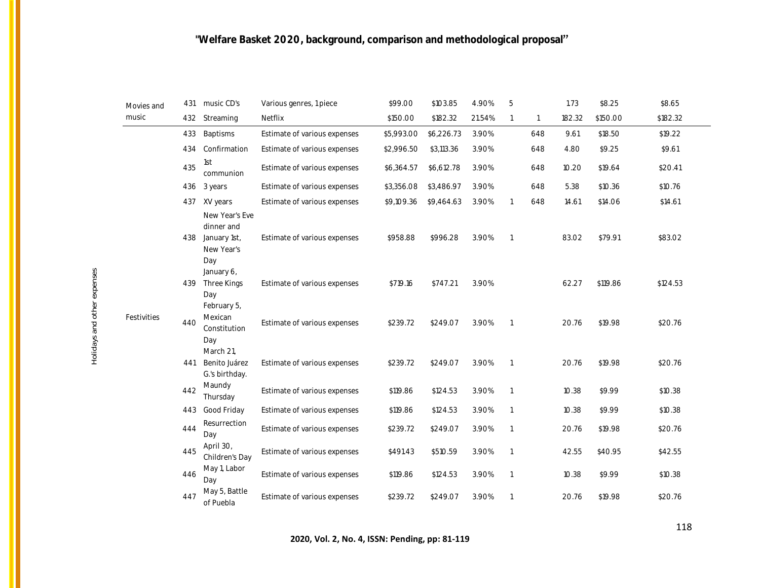| Movies and<br>music | 431 | music CD's                                                        | Various genres, 1 piece      | \$99.00    | \$103.85   | 4.90%  | 5              |              | 1.73   | \$8.25   | \$8.65   |
|---------------------|-----|-------------------------------------------------------------------|------------------------------|------------|------------|--------|----------------|--------------|--------|----------|----------|
|                     | 432 | Streaming                                                         | Netflix                      | \$150.00   | \$182.32   | 21.54% | $\overline{1}$ | $\mathbf{1}$ | 182.32 | \$150.00 | \$182.32 |
| Festivities         | 433 | Baptisms                                                          | Estimate of various expenses | \$5,993.00 | \$6,226.73 | 3.90%  |                | 648          | 9.61   | \$18.50  | \$19.22  |
|                     | 434 | Confirmation                                                      | Estimate of various expenses | \$2,996.50 | \$3,113.36 | 3.90%  |                | 648          | 4.80   | \$9.25   | \$9.61   |
|                     | 435 | 1st<br>communion                                                  | Estimate of various expenses | \$6,364.57 | \$6,612.78 | 3.90%  |                | 648          | 10.20  | \$19.64  | \$20.41  |
|                     | 436 | 3 years                                                           | Estimate of various expenses | \$3,356.08 | \$3,486.97 | 3.90%  |                | 648          | 5.38   | \$10.36  | \$10.76  |
|                     | 437 | XV years                                                          | Estimate of various expenses | \$9,109.36 | \$9,464.63 | 3.90%  | $\overline{1}$ | 648          | 14.61  | \$14.06  | \$14.61  |
|                     | 438 | New Year's Eve<br>dinner and<br>January 1st,<br>New Year's<br>Day | Estimate of various expenses | \$958.88   | \$996.28   | 3.90%  | $\overline{1}$ |              | 83.02  | \$79.91  | \$83.02  |
|                     | 439 | January 6,<br>Three Kings                                         | Estimate of various expenses | \$719.16   | \$747.21   | 3.90%  |                |              | 62.27  | \$119.86 | \$124.53 |
|                     | 440 | Day<br>February 5,<br>Mexican<br>Constitution<br>Day              | Estimate of various expenses | \$239.72   | \$249.07   | 3.90%  | $\overline{1}$ |              | 20.76  | \$19.98  | \$20.76  |
|                     | 441 | March 21,<br>Benito Juárez<br>G.'s birthday.                      | Estimate of various expenses | \$239.72   | \$249.07   | 3.90%  | $\overline{1}$ |              | 20.76  | \$19.98  | \$20.76  |
|                     | 442 | Maundy<br>Thursday                                                | Estimate of various expenses | \$119.86   | \$124.53   | 3.90%  | $\overline{1}$ |              | 10.38  | \$9.99   | \$10.38  |
|                     | 443 | Good Friday                                                       | Estimate of various expenses | \$119.86   | \$124.53   | 3.90%  | $\overline{1}$ |              | 10.38  | \$9.99   | \$10.38  |
|                     | 444 | Resurrection<br>Day                                               | Estimate of various expenses | \$239.72   | \$249.07   | 3.90%  | $\overline{1}$ |              | 20.76  | \$19.98  | \$20.76  |
|                     | 445 | April 30,<br>Children's Day                                       | Estimate of various expenses | \$491.43   | \$510.59   | 3.90%  | $\overline{1}$ |              | 42.55  | \$40.95  | \$42.55  |
|                     | 446 | May 1, Labor<br>Day                                               | Estimate of various expenses | \$119.86   | \$124.53   | 3.90%  | $\overline{1}$ |              | 10.38  | \$9.99   | \$10.38  |
|                     | 447 | May 5, Battle<br>of Puebla                                        | Estimate of various expenses | \$239.72   | \$249.07   | 3.90%  | $\overline{1}$ |              | 20.76  | \$19.98  | \$20.76  |